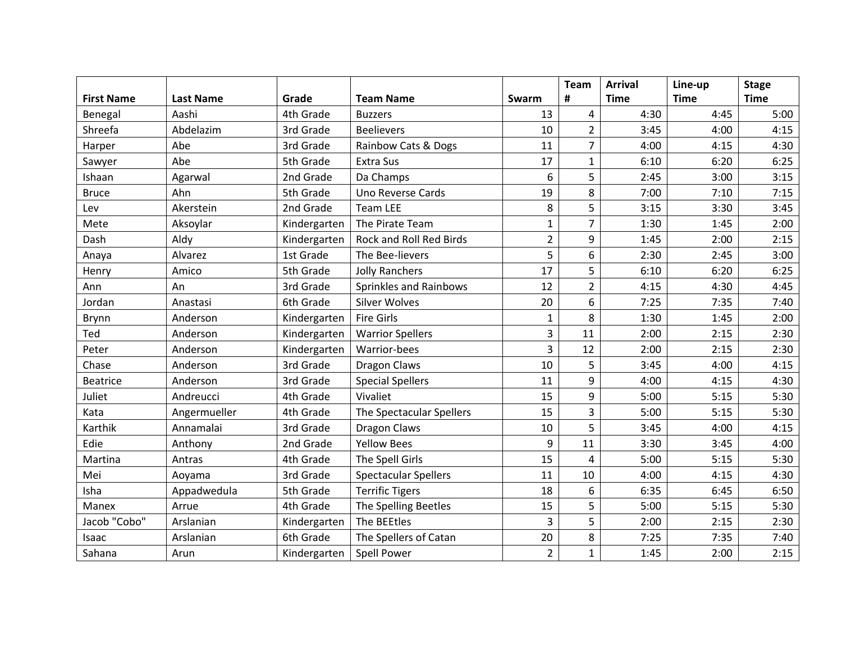|                   |                  |              |                             |                | <b>Team</b>    | <b>Arrival</b> | Line-up     | <b>Stage</b> |
|-------------------|------------------|--------------|-----------------------------|----------------|----------------|----------------|-------------|--------------|
| <b>First Name</b> | <b>Last Name</b> | Grade        | <b>Team Name</b>            | Swarm          | #              | <b>Time</b>    | <b>Time</b> | <b>Time</b>  |
| Benegal           | Aashi            | 4th Grade    | <b>Buzzers</b>              | 13             | $\overline{4}$ | 4:30           | 4:45        | 5:00         |
| Shreefa           | Abdelazim        | 3rd Grade    | <b>Beelievers</b>           | 10             | $\overline{2}$ | 3:45           | 4:00        | 4:15         |
| Harper            | Abe              | 3rd Grade    | Rainbow Cats & Dogs         | 11             | $\overline{7}$ | 4:00           | 4:15        | 4:30         |
| Sawyer            | Abe              | 5th Grade    | <b>Extra Sus</b>            | 17             | $\mathbf{1}$   | 6:10           | 6:20        | 6:25         |
| Ishaan            | Agarwal          | 2nd Grade    | Da Champs                   | 6              | 5              | 2:45           | 3:00        | 3:15         |
| <b>Bruce</b>      | Ahn              | 5th Grade    | Uno Reverse Cards           | 19             | 8              | 7:00           | 7:10        | 7:15         |
| Lev               | Akerstein        | 2nd Grade    | <b>Team LEE</b>             | 8              | 5              | 3:15           | 3:30        | 3:45         |
| Mete              | Aksoylar         | Kindergarten | The Pirate Team             | $\mathbf{1}$   | $\overline{7}$ | 1:30           | 1:45        | 2:00         |
| Dash              | Aldy             | Kindergarten | Rock and Roll Red Birds     | $\overline{2}$ | 9              | 1:45           | 2:00        | 2:15         |
| Anaya             | Alvarez          | 1st Grade    | The Bee-lievers             | 5              | 6              | 2:30           | 2:45        | 3:00         |
| Henry             | Amico            | 5th Grade    | <b>Jolly Ranchers</b>       | 17             | 5              | 6:10           | 6:20        | 6:25         |
| Ann               | An               | 3rd Grade    | Sprinkles and Rainbows      | 12             | $\overline{2}$ | 4:15           | 4:30        | 4:45         |
| Jordan            | Anastasi         | 6th Grade    | <b>Silver Wolves</b>        | 20             | 6              | 7:25           | 7:35        | 7:40         |
| Brynn             | Anderson         | Kindergarten | <b>Fire Girls</b>           | $\mathbf{1}$   | 8              | 1:30           | 1:45        | 2:00         |
| Ted               | Anderson         | Kindergarten | <b>Warrior Spellers</b>     | $\overline{3}$ | 11             | 2:00           | 2:15        | 2:30         |
| Peter             | Anderson         | Kindergarten | Warrior-bees                | $\overline{3}$ | 12             | 2:00           | 2:15        | 2:30         |
| Chase             | Anderson         | 3rd Grade    | <b>Dragon Claws</b>         | 10             | 5              | 3:45           | 4:00        | 4:15         |
| <b>Beatrice</b>   | Anderson         | 3rd Grade    | <b>Special Spellers</b>     | 11             | 9              | 4:00           | 4:15        | 4:30         |
| Juliet            | Andreucci        | 4th Grade    | Vivaliet                    | 15             | 9              | 5:00           | 5:15        | 5:30         |
| Kata              | Angermueller     | 4th Grade    | The Spectacular Spellers    | 15             | $\overline{3}$ | 5:00           | 5:15        | 5:30         |
| Karthik           | Annamalai        | 3rd Grade    | Dragon Claws                | 10             | 5              | 3:45           | 4:00        | 4:15         |
| Edie              | Anthony          | 2nd Grade    | <b>Yellow Bees</b>          | 9              | 11             | 3:30           | 3:45        | 4:00         |
| Martina           | Antras           | 4th Grade    | The Spell Girls             | 15             | $\overline{4}$ | 5:00           | 5:15        | 5:30         |
| Mei               | Aoyama           | 3rd Grade    | <b>Spectacular Spellers</b> | 11             | 10             | 4:00           | 4:15        | 4:30         |
| Isha              | Appadwedula      | 5th Grade    | <b>Terrific Tigers</b>      | 18             | 6              | 6:35           | 6:45        | 6:50         |
| Manex             | Arrue            | 4th Grade    | The Spelling Beetles        | 15             | 5              | 5:00           | 5:15        | 5:30         |
| Jacob "Cobo"      | Arslanian        | Kindergarten | The BEEtles                 | $\overline{3}$ | 5              | 2:00           | 2:15        | 2:30         |
| Isaac             | Arslanian        | 6th Grade    | The Spellers of Catan       | 20             | 8              | 7:25           | 7:35        | 7:40         |
| Sahana            | Arun             | Kindergarten | Spell Power                 | $\overline{2}$ | $\mathbf{1}$   | 1:45           | 2:00        | 2:15         |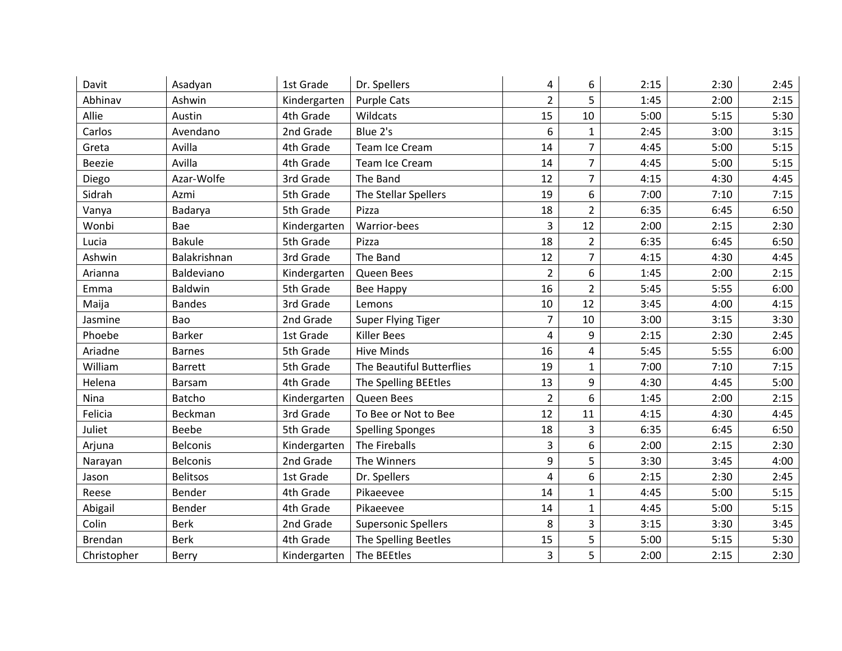| Davit          | Asadyan         | 1st Grade    | Dr. Spellers               | 4              | 6              | 2:15 | 2:30 | 2:45 |
|----------------|-----------------|--------------|----------------------------|----------------|----------------|------|------|------|
| Abhinav        | Ashwin          | Kindergarten | <b>Purple Cats</b>         | $\overline{2}$ | 5              | 1:45 | 2:00 | 2:15 |
| Allie          | Austin          | 4th Grade    | Wildcats                   | 15             | 10             | 5:00 | 5:15 | 5:30 |
| Carlos         | Avendano        | 2nd Grade    | Blue 2's                   | 6              | $\mathbf{1}$   | 2:45 | 3:00 | 3:15 |
| Greta          | Avilla          | 4th Grade    | Team Ice Cream             | 14             | $\overline{7}$ | 4:45 | 5:00 | 5:15 |
| <b>Beezie</b>  | Avilla          | 4th Grade    | Team Ice Cream             | 14             | 7              | 4:45 | 5:00 | 5:15 |
| Diego          | Azar-Wolfe      | 3rd Grade    | The Band                   | 12             | $\overline{7}$ | 4:15 | 4:30 | 4:45 |
| Sidrah         | Azmi            | 5th Grade    | The Stellar Spellers       | 19             | 6              | 7:00 | 7:10 | 7:15 |
| Vanya          | Badarya         | 5th Grade    | Pizza                      | 18             | $\overline{2}$ | 6:35 | 6:45 | 6:50 |
| Wonbi          | Bae             | Kindergarten | Warrior-bees               | 3              | 12             | 2:00 | 2:15 | 2:30 |
| Lucia          | <b>Bakule</b>   | 5th Grade    | Pizza                      | 18             | $\overline{2}$ | 6:35 | 6:45 | 6:50 |
| Ashwin         | Balakrishnan    | 3rd Grade    | The Band                   | 12             | $\overline{7}$ | 4:15 | 4:30 | 4:45 |
| Arianna        | Baldeviano      | Kindergarten | Queen Bees                 | $\overline{2}$ | 6              | 1:45 | 2:00 | 2:15 |
| Emma           | <b>Baldwin</b>  | 5th Grade    | <b>Bee Happy</b>           | 16             | $\overline{2}$ | 5:45 | 5:55 | 6:00 |
| Maija          | <b>Bandes</b>   | 3rd Grade    | Lemons                     | 10             | 12             | 3:45 | 4:00 | 4:15 |
| Jasmine        | Bao             | 2nd Grade    | Super Flying Tiger         | $\overline{7}$ | 10             | 3:00 | 3:15 | 3:30 |
| Phoebe         | <b>Barker</b>   | 1st Grade    | <b>Killer Bees</b>         | 4              | 9              | 2:15 | 2:30 | 2:45 |
| Ariadne        | <b>Barnes</b>   | 5th Grade    | <b>Hive Minds</b>          | 16             | 4              | 5:45 | 5:55 | 6:00 |
| William        | <b>Barrett</b>  | 5th Grade    | The Beautiful Butterflies  | 19             | $\mathbf{1}$   | 7:00 | 7:10 | 7:15 |
| Helena         | <b>Barsam</b>   | 4th Grade    | The Spelling BEEtles       | 13             | 9              | 4:30 | 4:45 | 5:00 |
| Nina           | Batcho          | Kindergarten | Queen Bees                 | $\overline{2}$ | 6              | 1:45 | 2:00 | 2:15 |
| Felicia        | Beckman         | 3rd Grade    | To Bee or Not to Bee       | 12             | 11             | 4:15 | 4:30 | 4:45 |
| Juliet         | Beebe           | 5th Grade    | <b>Spelling Sponges</b>    | 18             | 3              | 6:35 | 6:45 | 6:50 |
| Arjuna         | <b>Belconis</b> | Kindergarten | The Fireballs              | 3              | 6              | 2:00 | 2:15 | 2:30 |
| Narayan        | <b>Belconis</b> | 2nd Grade    | The Winners                | 9              | 5              | 3:30 | 3:45 | 4:00 |
| Jason          | <b>Belitsos</b> | 1st Grade    | Dr. Spellers               | $\overline{4}$ | 6              | 2:15 | 2:30 | 2:45 |
| Reese          | Bender          | 4th Grade    | Pikaeevee                  | 14             | $\mathbf{1}$   | 4:45 | 5:00 | 5:15 |
| Abigail        | Bender          | 4th Grade    | Pikaeevee                  | 14             | 1              | 4:45 | 5:00 | 5:15 |
| Colin          | <b>Berk</b>     | 2nd Grade    | <b>Supersonic Spellers</b> | 8              | 3              | 3:15 | 3:30 | 3:45 |
| <b>Brendan</b> | <b>Berk</b>     | 4th Grade    | The Spelling Beetles       | 15             | 5              | 5:00 | 5:15 | 5:30 |
| Christopher    | Berry           | Kindergarten | The BEEtles                | $\overline{3}$ | 5              | 2:00 | 2:15 | 2:30 |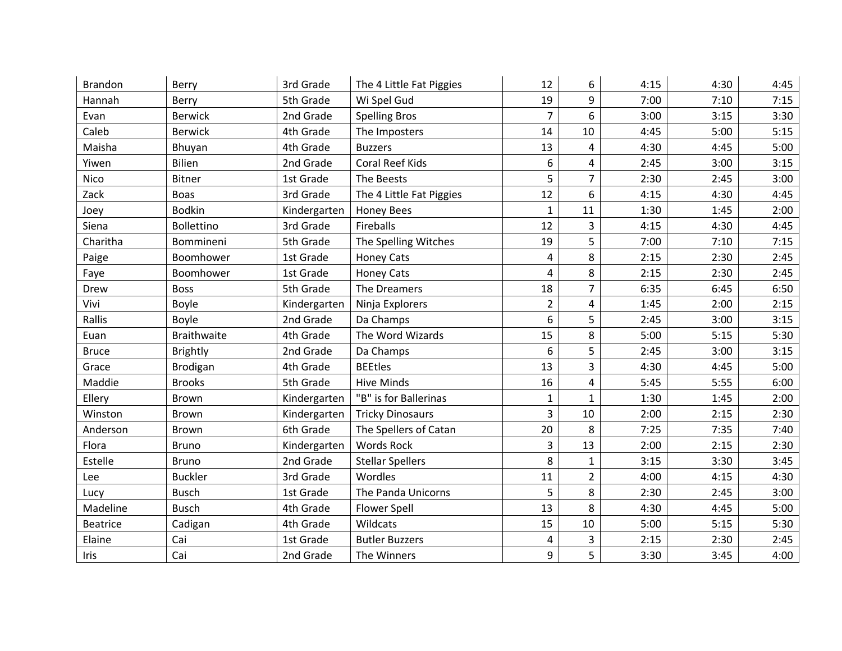| <b>Brandon</b>  | Berry              | 3rd Grade    | The 4 Little Fat Piggies | 12             | 6              | 4:15 | 4:30 | 4:45 |
|-----------------|--------------------|--------------|--------------------------|----------------|----------------|------|------|------|
| Hannah          | Berry              | 5th Grade    | Wi Spel Gud              | 19             | 9              | 7:00 | 7:10 | 7:15 |
| Evan            | <b>Berwick</b>     | 2nd Grade    | <b>Spelling Bros</b>     | $\overline{7}$ | 6              | 3:00 | 3:15 | 3:30 |
| Caleb           | <b>Berwick</b>     | 4th Grade    | The Imposters            | 14             | 10             | 4:45 | 5:00 | 5:15 |
| Maisha          | Bhuyan             | 4th Grade    | <b>Buzzers</b>           | 13             | 4              | 4:30 | 4:45 | 5:00 |
| Yiwen           | <b>Bilien</b>      | 2nd Grade    | Coral Reef Kids          | 6              | 4              | 2:45 | 3:00 | 3:15 |
| Nico            | Bitner             | 1st Grade    | The Beests               | 5              | $\overline{7}$ | 2:30 | 2:45 | 3:00 |
| Zack            | <b>Boas</b>        | 3rd Grade    | The 4 Little Fat Piggies | 12             | 6              | 4:15 | 4:30 | 4:45 |
| Joey            | <b>Bodkin</b>      | Kindergarten | <b>Honey Bees</b>        | $\mathbf{1}$   | 11             | 1:30 | 1:45 | 2:00 |
| Siena           | <b>Bollettino</b>  | 3rd Grade    | Fireballs                | 12             | 3              | 4:15 | 4:30 | 4:45 |
| Charitha        | Bommineni          | 5th Grade    | The Spelling Witches     | 19             | 5              | 7:00 | 7:10 | 7:15 |
| Paige           | Boomhower          | 1st Grade    | <b>Honey Cats</b>        | 4              | 8              | 2:15 | 2:30 | 2:45 |
| Faye            | Boomhower          | 1st Grade    | <b>Honey Cats</b>        | 4              | 8              | 2:15 | 2:30 | 2:45 |
| Drew            | <b>Boss</b>        | 5th Grade    | The Dreamers             | 18             | $\overline{7}$ | 6:35 | 6:45 | 6:50 |
| Vivi            | Boyle              | Kindergarten | Ninja Explorers          | $\overline{2}$ | 4              | 1:45 | 2:00 | 2:15 |
| Rallis          | Boyle              | 2nd Grade    | Da Champs                | 6              | 5              | 2:45 | 3:00 | 3:15 |
| Euan            | <b>Braithwaite</b> | 4th Grade    | The Word Wizards         | 15             | 8              | 5:00 | 5:15 | 5:30 |
| <b>Bruce</b>    | <b>Brightly</b>    | 2nd Grade    | Da Champs                | 6              | 5              | 2:45 | 3:00 | 3:15 |
| Grace           | Brodigan           | 4th Grade    | <b>BEEtles</b>           | 13             | 3              | 4:30 | 4:45 | 5:00 |
| Maddie          | <b>Brooks</b>      | 5th Grade    | <b>Hive Minds</b>        | 16             | 4              | 5:45 | 5:55 | 6:00 |
| Ellery          | Brown              | Kindergarten | "B" is for Ballerinas    | $\mathbf{1}$   | $\mathbf{1}$   | 1:30 | 1:45 | 2:00 |
| Winston         | Brown              | Kindergarten | <b>Tricky Dinosaurs</b>  | 3              | 10             | 2:00 | 2:15 | 2:30 |
| Anderson        | Brown              | 6th Grade    | The Spellers of Catan    | 20             | 8              | 7:25 | 7:35 | 7:40 |
| Flora           | <b>Bruno</b>       | Kindergarten | <b>Words Rock</b>        | 3              | 13             | 2:00 | 2:15 | 2:30 |
| Estelle         | <b>Bruno</b>       | 2nd Grade    | <b>Stellar Spellers</b>  | 8              | $\mathbf{1}$   | 3:15 | 3:30 | 3:45 |
| Lee             | <b>Buckler</b>     | 3rd Grade    | Wordles                  | 11             | $\overline{2}$ | 4:00 | 4:15 | 4:30 |
| Lucy            | <b>Busch</b>       | 1st Grade    | The Panda Unicorns       | 5              | 8              | 2:30 | 2:45 | 3:00 |
| Madeline        | <b>Busch</b>       | 4th Grade    | <b>Flower Spell</b>      | 13             | 8              | 4:30 | 4:45 | 5:00 |
| <b>Beatrice</b> | Cadigan            | 4th Grade    | Wildcats                 | 15             | 10             | 5:00 | 5:15 | 5:30 |
| Elaine          | Cai                | 1st Grade    | <b>Butler Buzzers</b>    | 4              | 3              | 2:15 | 2:30 | 2:45 |
| Iris            | Cai                | 2nd Grade    | The Winners              | 9              | 5              | 3:30 | 3:45 | 4:00 |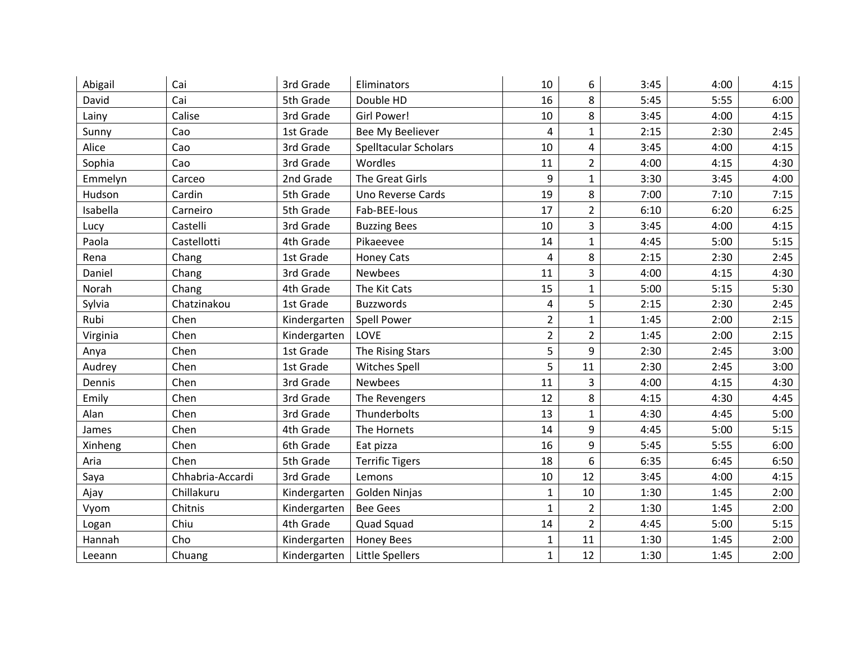| Abigail  | Cai              | 3rd Grade    | Eliminators                    | 10             | 6              | 3:45 | 4:00 | 4:15 |
|----------|------------------|--------------|--------------------------------|----------------|----------------|------|------|------|
| David    | Cai              | 5th Grade    | Double HD                      | 16             | 8              | 5:45 | 5:55 | 6:00 |
| Lainy    | Calise           | 3rd Grade    | Girl Power!                    | 10             | 8              | 3:45 | 4:00 | 4:15 |
| Sunny    | Cao              | 1st Grade    | Bee My Beeliever               | 4              | $\mathbf{1}$   | 2:15 | 2:30 | 2:45 |
| Alice    | Cao              | 3rd Grade    | <b>Spelltacular Scholars</b>   | 10             | 4              | 3:45 | 4:00 | 4:15 |
| Sophia   | Cao              | 3rd Grade    | Wordles                        | 11             | $\overline{2}$ | 4:00 | 4:15 | 4:30 |
| Emmelyn  | Carceo           | 2nd Grade    | The Great Girls                | 9              | $\mathbf{1}$   | 3:30 | 3:45 | 4:00 |
| Hudson   | Cardin           | 5th Grade    | Uno Reverse Cards              | 19             | 8              | 7:00 | 7:10 | 7:15 |
| Isabella | Carneiro         | 5th Grade    | Fab-BEE-lous                   | 17             | $\overline{2}$ | 6:10 | 6:20 | 6:25 |
| Lucy     | Castelli         | 3rd Grade    | <b>Buzzing Bees</b>            | 10             | 3              | 3:45 | 4:00 | 4:15 |
| Paola    | Castellotti      | 4th Grade    | Pikaeevee                      | 14             | $\mathbf{1}$   | 4:45 | 5:00 | 5:15 |
| Rena     | Chang            | 1st Grade    | <b>Honey Cats</b>              | 4              | 8              | 2:15 | 2:30 | 2:45 |
| Daniel   | Chang            | 3rd Grade    | <b>Newbees</b>                 | 11             | 3              | 4:00 | 4:15 | 4:30 |
| Norah    | Chang            | 4th Grade    | The Kit Cats                   | 15             | $\mathbf{1}$   | 5:00 | 5:15 | 5:30 |
| Sylvia   | Chatzinakou      | 1st Grade    | Buzzwords                      | 4              | 5              | 2:15 | 2:30 | 2:45 |
| Rubi     | Chen             | Kindergarten | <b>Spell Power</b>             | $\overline{2}$ | $\mathbf{1}$   | 1:45 | 2:00 | 2:15 |
| Virginia | Chen             | Kindergarten | LOVE                           | $\overline{2}$ | $\overline{2}$ | 1:45 | 2:00 | 2:15 |
| Anya     | Chen             | 1st Grade    | The Rising Stars               | 5              | 9              | 2:30 | 2:45 | 3:00 |
| Audrey   | Chen             | 1st Grade    | <b>Witches Spell</b>           | 5              | 11             | 2:30 | 2:45 | 3:00 |
| Dennis   | Chen             | 3rd Grade    | <b>Newbees</b>                 | 11             | 3              | 4:00 | 4:15 | 4:30 |
| Emily    | Chen             | 3rd Grade    | The Revengers                  | 12             | 8              | 4:15 | 4:30 | 4:45 |
| Alan     | Chen             | 3rd Grade    | Thunderbolts                   | 13             | $\mathbf{1}$   | 4:30 | 4:45 | 5:00 |
| James    | Chen             | 4th Grade    | The Hornets                    | 14             | 9              | 4:45 | 5:00 | 5:15 |
| Xinheng  | Chen             | 6th Grade    | Eat pizza                      | 16             | 9              | 5:45 | 5:55 | 6:00 |
| Aria     | Chen             | 5th Grade    | <b>Terrific Tigers</b>         | 18             | 6              | 6:35 | 6:45 | 6:50 |
| Saya     | Chhabria-Accardi | 3rd Grade    | Lemons                         | 10             | 12             | 3:45 | 4:00 | 4:15 |
| Ajay     | Chillakuru       | Kindergarten | Golden Ninjas                  | $\mathbf{1}$   | 10             | 1:30 | 1:45 | 2:00 |
| Vyom     | Chitnis          | Kindergarten | <b>Bee Gees</b>                | $\mathbf{1}$   | $\overline{2}$ | 1:30 | 1:45 | 2:00 |
| Logan    | Chiu             | 4th Grade    | Quad Squad                     | 14             | $\overline{2}$ | 4:45 | 5:00 | 5:15 |
| Hannah   | Cho              | Kindergarten | <b>Honey Bees</b>              | $\mathbf{1}$   | 11             | 1:30 | 1:45 | 2:00 |
| Leeann   | Chuang           |              | Kindergarten   Little Spellers | $\mathbf{1}$   | 12             | 1:30 | 1:45 | 2:00 |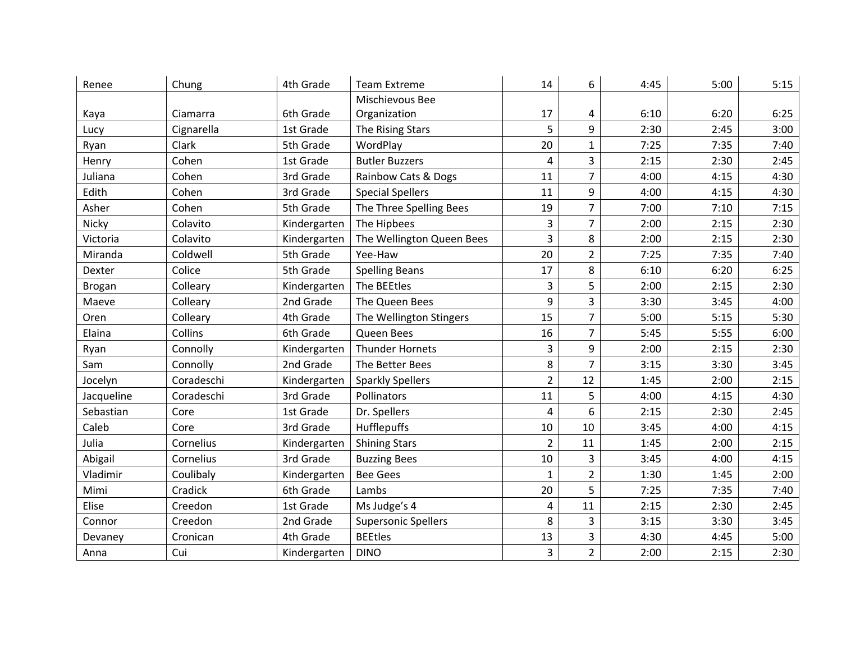| Renee         | Chung      | 4th Grade    | <b>Team Extreme</b>        | 14             | 6              | 4:45 | 5:00 | 5:15 |
|---------------|------------|--------------|----------------------------|----------------|----------------|------|------|------|
|               |            |              | Mischievous Bee            |                |                |      |      |      |
| Kaya          | Ciamarra   | 6th Grade    | Organization               | 17             | 4              | 6:10 | 6:20 | 6:25 |
| Lucy          | Cignarella | 1st Grade    | The Rising Stars           | 5              | 9              | 2:30 | 2:45 | 3:00 |
| Ryan          | Clark      | 5th Grade    | WordPlay                   | 20             | 1              | 7:25 | 7:35 | 7:40 |
| Henry         | Cohen      | 1st Grade    | <b>Butler Buzzers</b>      | 4              | 3              | 2:15 | 2:30 | 2:45 |
| Juliana       | Cohen      | 3rd Grade    | Rainbow Cats & Dogs        | 11             | $\overline{7}$ | 4:00 | 4:15 | 4:30 |
| Edith         | Cohen      | 3rd Grade    | <b>Special Spellers</b>    | 11             | 9              | 4:00 | 4:15 | 4:30 |
| Asher         | Cohen      | 5th Grade    | The Three Spelling Bees    | 19             | $\overline{7}$ | 7:00 | 7:10 | 7:15 |
| Nicky         | Colavito   | Kindergarten | The Hipbees                | $\overline{3}$ | $\overline{7}$ | 2:00 | 2:15 | 2:30 |
| Victoria      | Colavito   | Kindergarten | The Wellington Queen Bees  | 3              | 8              | 2:00 | 2:15 | 2:30 |
| Miranda       | Coldwell   | 5th Grade    | Yee-Haw                    | 20             | $\overline{2}$ | 7:25 | 7:35 | 7:40 |
| Dexter        | Colice     | 5th Grade    | <b>Spelling Beans</b>      | 17             | 8              | 6:10 | 6:20 | 6:25 |
| <b>Brogan</b> | Colleary   | Kindergarten | The BEEtles                | 3              | 5              | 2:00 | 2:15 | 2:30 |
| Maeve         | Colleary   | 2nd Grade    | The Queen Bees             | 9              | 3              | 3:30 | 3:45 | 4:00 |
| Oren          | Colleary   | 4th Grade    | The Wellington Stingers    | 15             | $\overline{7}$ | 5:00 | 5:15 | 5:30 |
| Elaina        | Collins    | 6th Grade    | Queen Bees                 | 16             | $\overline{7}$ | 5:45 | 5:55 | 6:00 |
| Ryan          | Connolly   | Kindergarten | <b>Thunder Hornets</b>     | 3              | 9              | 2:00 | 2:15 | 2:30 |
| Sam           | Connolly   | 2nd Grade    | The Better Bees            | 8              | 7              | 3:15 | 3:30 | 3:45 |
| Jocelyn       | Coradeschi | Kindergarten | <b>Sparkly Spellers</b>    | $\overline{2}$ | 12             | 1:45 | 2:00 | 2:15 |
| Jacqueline    | Coradeschi | 3rd Grade    | Pollinators                | 11             | 5              | 4:00 | 4:15 | 4:30 |
| Sebastian     | Core       | 1st Grade    | Dr. Spellers               | 4              | 6              | 2:15 | 2:30 | 2:45 |
| Caleb         | Core       | 3rd Grade    | Hufflepuffs                | 10             | 10             | 3:45 | 4:00 | 4:15 |
| Julia         | Cornelius  | Kindergarten | <b>Shining Stars</b>       | $\overline{2}$ | 11             | 1:45 | 2:00 | 2:15 |
| Abigail       | Cornelius  | 3rd Grade    | <b>Buzzing Bees</b>        | 10             | 3              | 3:45 | 4:00 | 4:15 |
| Vladimir      | Coulibaly  | Kindergarten | <b>Bee Gees</b>            | $\mathbf{1}$   | $\overline{2}$ | 1:30 | 1:45 | 2:00 |
| Mimi          | Cradick    | 6th Grade    | Lambs                      | 20             | 5              | 7:25 | 7:35 | 7:40 |
| Elise         | Creedon    | 1st Grade    | Ms Judge's 4               | 4              | 11             | 2:15 | 2:30 | 2:45 |
| Connor        | Creedon    | 2nd Grade    | <b>Supersonic Spellers</b> | 8              | 3              | 3:15 | 3:30 | 3:45 |
| Devaney       | Cronican   | 4th Grade    | <b>BEEtles</b>             | 13             | 3              | 4:30 | 4:45 | 5:00 |
| Anna          | Cui        | Kindergarten | <b>DINO</b>                | $\overline{3}$ | $\overline{2}$ | 2:00 | 2:15 | 2:30 |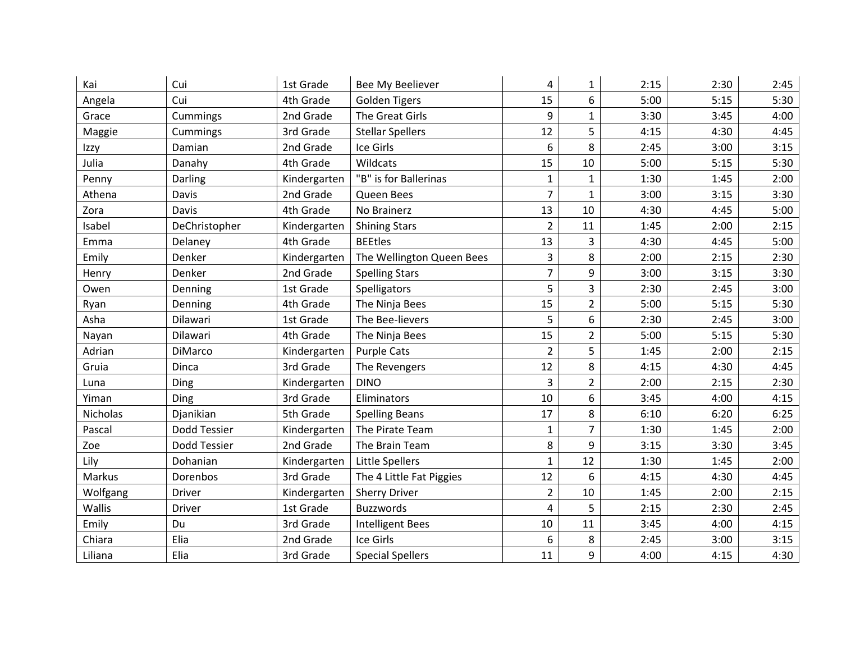| Kai             | Cui           | 1st Grade    | Bee My Beeliever          | 4              | $\mathbf{1}$   | 2:15 | 2:30 | 2:45 |
|-----------------|---------------|--------------|---------------------------|----------------|----------------|------|------|------|
| Angela          | Cui           | 4th Grade    | <b>Golden Tigers</b>      | 15             | 6              | 5:00 | 5:15 | 5:30 |
| Grace           | Cummings      | 2nd Grade    | The Great Girls           | 9              | $\mathbf{1}$   | 3:30 | 3:45 | 4:00 |
| Maggie          | Cummings      | 3rd Grade    | <b>Stellar Spellers</b>   | 12             | 5              | 4:15 | 4:30 | 4:45 |
| Izzy            | Damian        | 2nd Grade    | Ice Girls                 | 6              | 8              | 2:45 | 3:00 | 3:15 |
| Julia           | Danahy        | 4th Grade    | Wildcats                  | 15             | 10             | 5:00 | 5:15 | 5:30 |
| Penny           | Darling       | Kindergarten | "B" is for Ballerinas     | $\mathbf{1}$   | $\mathbf{1}$   | 1:30 | 1:45 | 2:00 |
| Athena          | Davis         | 2nd Grade    | Queen Bees                | 7              | $\mathbf{1}$   | 3:00 | 3:15 | 3:30 |
| Zora            | Davis         | 4th Grade    | No Brainerz               | 13             | 10             | 4:30 | 4:45 | 5:00 |
| Isabel          | DeChristopher | Kindergarten | <b>Shining Stars</b>      | $\overline{2}$ | 11             | 1:45 | 2:00 | 2:15 |
| Emma            | Delaney       | 4th Grade    | <b>BEEtles</b>            | 13             | 3              | 4:30 | 4:45 | 5:00 |
| Emily           | Denker        | Kindergarten | The Wellington Queen Bees | 3              | 8              | 2:00 | 2:15 | 2:30 |
| Henry           | Denker        | 2nd Grade    | <b>Spelling Stars</b>     | $\overline{7}$ | 9              | 3:00 | 3:15 | 3:30 |
| Owen            | Denning       | 1st Grade    | Spelligators              | 5              | 3              | 2:30 | 2:45 | 3:00 |
| Ryan            | Denning       | 4th Grade    | The Ninja Bees            | 15             | $\overline{2}$ | 5:00 | 5:15 | 5:30 |
| Asha            | Dilawari      | 1st Grade    | The Bee-lievers           | 5              | 6              | 2:30 | 2:45 | 3:00 |
| Nayan           | Dilawari      | 4th Grade    | The Ninja Bees            | 15             | $\overline{2}$ | 5:00 | 5:15 | 5:30 |
| Adrian          | DiMarco       | Kindergarten | <b>Purple Cats</b>        | $\overline{2}$ | 5              | 1:45 | 2:00 | 2:15 |
| Gruia           | Dinca         | 3rd Grade    | The Revengers             | 12             | 8              | 4:15 | 4:30 | 4:45 |
| Luna            | Ding          | Kindergarten | <b>DINO</b>               | 3              | $\overline{2}$ | 2:00 | 2:15 | 2:30 |
| Yiman           | Ding          | 3rd Grade    | Eliminators               | 10             | 6              | 3:45 | 4:00 | 4:15 |
| <b>Nicholas</b> | Djanikian     | 5th Grade    | <b>Spelling Beans</b>     | 17             | 8              | 6:10 | 6:20 | 6:25 |
| Pascal          | Dodd Tessier  | Kindergarten | The Pirate Team           | 1              | 7              | 1:30 | 1:45 | 2:00 |
| Zoe             | Dodd Tessier  | 2nd Grade    | The Brain Team            | 8              | 9              | 3:15 | 3:30 | 3:45 |
| Lily            | Dohanian      | Kindergarten | Little Spellers           | $\mathbf{1}$   | 12             | 1:30 | 1:45 | 2:00 |
| Markus          | Dorenbos      | 3rd Grade    | The 4 Little Fat Piggies  | 12             | 6              | 4:15 | 4:30 | 4:45 |
| Wolfgang        | Driver        | Kindergarten | <b>Sherry Driver</b>      | $\overline{2}$ | 10             | 1:45 | 2:00 | 2:15 |
| Wallis          | <b>Driver</b> | 1st Grade    | <b>Buzzwords</b>          | 4              | 5              | 2:15 | 2:30 | 2:45 |
| Emily           | Du            | 3rd Grade    | <b>Intelligent Bees</b>   | 10             | 11             | 3:45 | 4:00 | 4:15 |
| Chiara          | Elia          | 2nd Grade    | Ice Girls                 | 6              | 8              | 2:45 | 3:00 | 3:15 |
| Liliana         | Elia          | 3rd Grade    | <b>Special Spellers</b>   | 11             | 9              | 4:00 | 4:15 | 4:30 |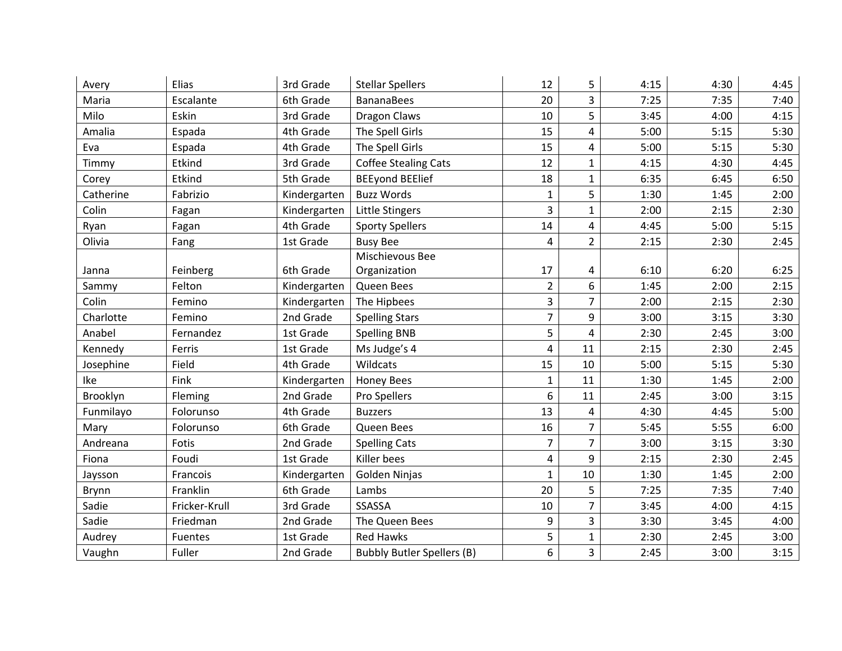| Avery     | Elias         | 3rd Grade    | <b>Stellar Spellers</b>           | 12                      | 5                       | 4:15 | 4:30 | 4:45 |
|-----------|---------------|--------------|-----------------------------------|-------------------------|-------------------------|------|------|------|
| Maria     | Escalante     | 6th Grade    | <b>BananaBees</b>                 | 20                      | 3                       | 7:25 | 7:35 | 7:40 |
| Milo      | Eskin         | 3rd Grade    | Dragon Claws                      | 10                      | 5                       | 3:45 | 4:00 | 4:15 |
| Amalia    | Espada        | 4th Grade    | The Spell Girls                   | 15                      | 4                       | 5:00 | 5:15 | 5:30 |
| Eva       | Espada        | 4th Grade    | The Spell Girls                   | 15                      | 4                       | 5:00 | 5:15 | 5:30 |
| Timmy     | Etkind        | 3rd Grade    | <b>Coffee Stealing Cats</b>       | 12                      | $\mathbf{1}$            | 4:15 | 4:30 | 4:45 |
| Corey     | Etkind        | 5th Grade    | <b>BEEyond BEElief</b>            | 18                      | $\mathbf{1}$            | 6:35 | 6:45 | 6:50 |
| Catherine | Fabrizio      | Kindergarten | <b>Buzz Words</b>                 | 1                       | 5                       | 1:30 | 1:45 | 2:00 |
| Colin     | Fagan         | Kindergarten | Little Stingers                   | 3                       | $\mathbf{1}$            | 2:00 | 2:15 | 2:30 |
| Ryan      | Fagan         | 4th Grade    | <b>Sporty Spellers</b>            | 14                      | 4                       | 4:45 | 5:00 | 5:15 |
| Olivia    | Fang          | 1st Grade    | <b>Busy Bee</b>                   | 4                       | $\overline{2}$          | 2:15 | 2:30 | 2:45 |
|           |               |              | Mischievous Bee                   |                         |                         |      |      |      |
| Janna     | Feinberg      | 6th Grade    | Organization                      | 17                      | 4                       | 6:10 | 6:20 | 6:25 |
| Sammy     | Felton        | Kindergarten | Queen Bees                        | $\overline{2}$          | 6                       | 1:45 | 2:00 | 2:15 |
| Colin     | Femino        | Kindergarten | The Hipbees                       | 3                       | $\overline{7}$          | 2:00 | 2:15 | 2:30 |
| Charlotte | Femino        | 2nd Grade    | <b>Spelling Stars</b>             | $\overline{7}$          | 9                       | 3:00 | 3:15 | 3:30 |
| Anabel    | Fernandez     | 1st Grade    | <b>Spelling BNB</b>               | 5                       | 4                       | 2:30 | 2:45 | 3:00 |
| Kennedy   | Ferris        | 1st Grade    | Ms Judge's 4                      | $\overline{\mathbf{4}}$ | 11                      | 2:15 | 2:30 | 2:45 |
| Josephine | Field         | 4th Grade    | Wildcats                          | 15                      | 10                      | 5:00 | 5:15 | 5:30 |
| Ike       | Fink          | Kindergarten | <b>Honey Bees</b>                 | $\mathbf{1}$            | 11                      | 1:30 | 1:45 | 2:00 |
| Brooklyn  | Fleming       | 2nd Grade    | Pro Spellers                      | 6                       | 11                      | 2:45 | 3:00 | 3:15 |
| Funmilayo | Folorunso     | 4th Grade    | <b>Buzzers</b>                    | 13                      | $\overline{\mathbf{4}}$ | 4:30 | 4:45 | 5:00 |
| Mary      | Folorunso     | 6th Grade    | Queen Bees                        | 16                      | $\overline{7}$          | 5:45 | 5:55 | 6:00 |
| Andreana  | Fotis         | 2nd Grade    | <b>Spelling Cats</b>              | $\overline{7}$          | $\overline{7}$          | 3:00 | 3:15 | 3:30 |
| Fiona     | Foudi         | 1st Grade    | Killer bees                       | $\overline{\mathbf{4}}$ | 9                       | 2:15 | 2:30 | 2:45 |
| Jaysson   | Francois      | Kindergarten | Golden Ninjas                     | $\mathbf{1}$            | 10                      | 1:30 | 1:45 | 2:00 |
| Brynn     | Franklin      | 6th Grade    | Lambs                             | 20                      | 5                       | 7:25 | 7:35 | 7:40 |
| Sadie     | Fricker-Krull | 3rd Grade    | SSASSA                            | 10                      | $\overline{7}$          | 3:45 | 4:00 | 4:15 |
| Sadie     | Friedman      | 2nd Grade    | The Queen Bees                    | 9                       | 3                       | 3:30 | 3:45 | 4:00 |
| Audrey    | Fuentes       | 1st Grade    | <b>Red Hawks</b>                  | 5                       | $\mathbf{1}$            | 2:30 | 2:45 | 3:00 |
| Vaughn    | Fuller        | 2nd Grade    | <b>Bubbly Butler Spellers (B)</b> | 6                       | $\overline{3}$          | 2:45 | 3:00 | 3:15 |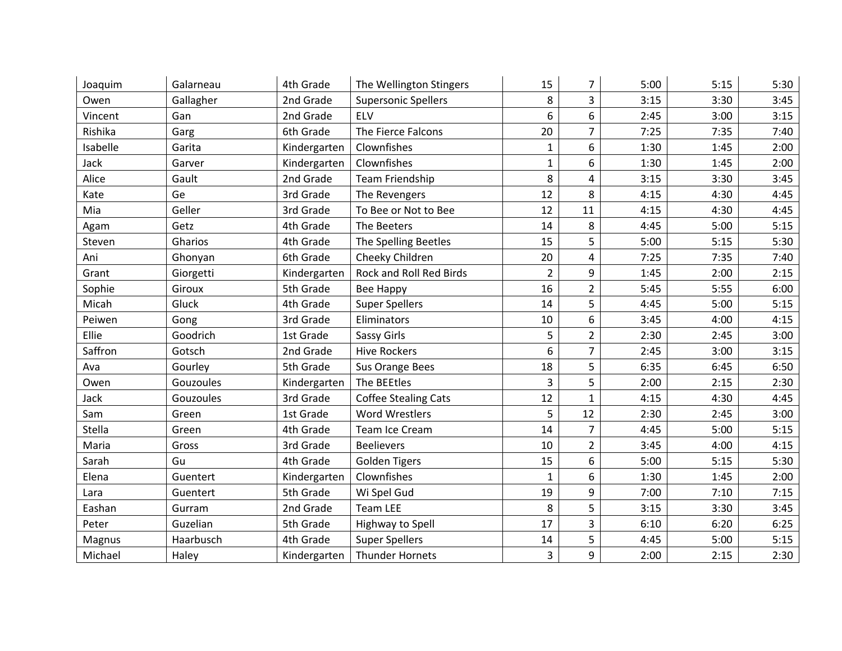| Joaquim  | Galarneau | 4th Grade    | The Wellington Stingers     | 15             | 7              | 5:00 | 5:15 | 5:30 |
|----------|-----------|--------------|-----------------------------|----------------|----------------|------|------|------|
| Owen     | Gallagher | 2nd Grade    | <b>Supersonic Spellers</b>  | 8              | 3              | 3:15 | 3:30 | 3:45 |
| Vincent  | Gan       | 2nd Grade    | ELV                         | 6              | 6              | 2:45 | 3:00 | 3:15 |
| Rishika  | Garg      | 6th Grade    | The Fierce Falcons          | 20             | $\overline{7}$ | 7:25 | 7:35 | 7:40 |
| Isabelle | Garita    | Kindergarten | Clownfishes                 | $\mathbf{1}$   | 6              | 1:30 | 1:45 | 2:00 |
| Jack     | Garver    | Kindergarten | Clownfishes                 | 1              | 6              | 1:30 | 1:45 | 2:00 |
| Alice    | Gault     | 2nd Grade    | Team Friendship             | 8              | 4              | 3:15 | 3:30 | 3:45 |
| Kate     | Ge        | 3rd Grade    | The Revengers               | 12             | 8              | 4:15 | 4:30 | 4:45 |
| Mia      | Geller    | 3rd Grade    | To Bee or Not to Bee        | 12             | 11             | 4:15 | 4:30 | 4:45 |
| Agam     | Getz      | 4th Grade    | The Beeters                 | 14             | 8              | 4:45 | 5:00 | 5:15 |
| Steven   | Gharios   | 4th Grade    | The Spelling Beetles        | 15             | 5              | 5:00 | 5:15 | 5:30 |
| Ani      | Ghonyan   | 6th Grade    | Cheeky Children             | 20             | 4              | 7:25 | 7:35 | 7:40 |
| Grant    | Giorgetti | Kindergarten | Rock and Roll Red Birds     | $\overline{2}$ | 9              | 1:45 | 2:00 | 2:15 |
| Sophie   | Giroux    | 5th Grade    | Bee Happy                   | 16             | $\overline{2}$ | 5:45 | 5:55 | 6:00 |
| Micah    | Gluck     | 4th Grade    | <b>Super Spellers</b>       | 14             | 5              | 4:45 | 5:00 | 5:15 |
| Peiwen   | Gong      | 3rd Grade    | Eliminators                 | 10             | 6              | 3:45 | 4:00 | 4:15 |
| Ellie    | Goodrich  | 1st Grade    | <b>Sassy Girls</b>          | 5              | $\overline{2}$ | 2:30 | 2:45 | 3:00 |
| Saffron  | Gotsch    | 2nd Grade    | <b>Hive Rockers</b>         | 6              | $\overline{7}$ | 2:45 | 3:00 | 3:15 |
| Ava      | Gourley   | 5th Grade    | Sus Orange Bees             | 18             | 5              | 6:35 | 6:45 | 6:50 |
| Owen     | Gouzoules | Kindergarten | The BEEtles                 | 3              | 5              | 2:00 | 2:15 | 2:30 |
| Jack     | Gouzoules | 3rd Grade    | <b>Coffee Stealing Cats</b> | 12             | $\mathbf{1}$   | 4:15 | 4:30 | 4:45 |
| Sam      | Green     | 1st Grade    | <b>Word Wrestlers</b>       | 5              | 12             | 2:30 | 2:45 | 3:00 |
| Stella   | Green     | 4th Grade    | Team Ice Cream              | 14             | 7              | 4:45 | 5:00 | 5:15 |
| Maria    | Gross     | 3rd Grade    | <b>Beelievers</b>           | 10             | $\overline{2}$ | 3:45 | 4:00 | 4:15 |
| Sarah    | Gu        | 4th Grade    | <b>Golden Tigers</b>        | 15             | 6              | 5:00 | 5:15 | 5:30 |
| Elena    | Guentert  | Kindergarten | Clownfishes                 | $\mathbf{1}$   | 6              | 1:30 | 1:45 | 2:00 |
| Lara     | Guentert  | 5th Grade    | Wi Spel Gud                 | 19             | 9              | 7:00 | 7:10 | 7:15 |
| Eashan   | Gurram    | 2nd Grade    | <b>Team LEE</b>             | 8              | 5              | 3:15 | 3:30 | 3:45 |
| Peter    | Guzelian  | 5th Grade    | Highway to Spell            | 17             | 3              | 6:10 | 6:20 | 6:25 |
| Magnus   | Haarbusch | 4th Grade    | <b>Super Spellers</b>       | 14             | 5              | 4:45 | 5:00 | 5:15 |
| Michael  | Haley     | Kindergarten | Thunder Hornets             | $\overline{3}$ | 9              | 2:00 | 2:15 | 2:30 |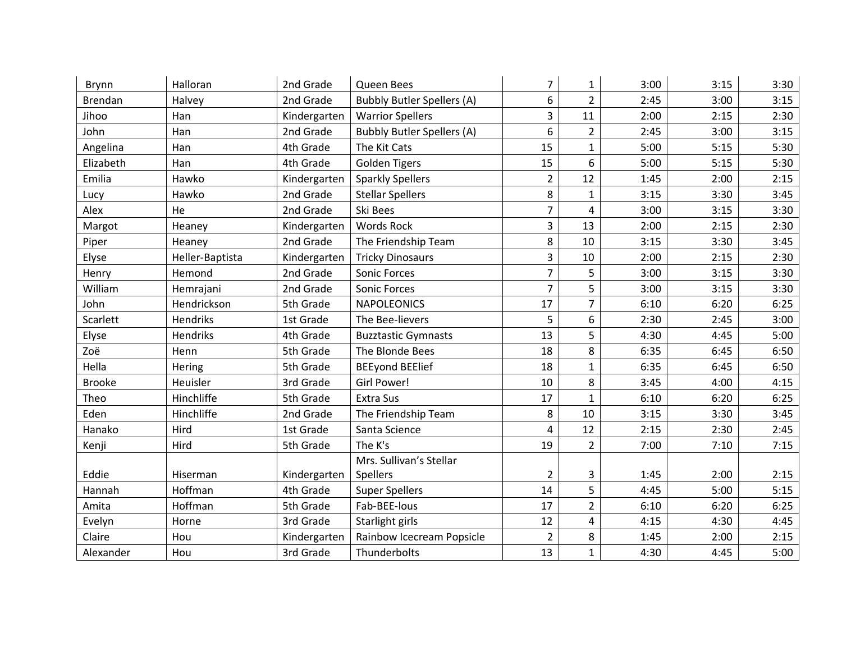| Brynn          | Halloran        | 2nd Grade    | Queen Bees                        | 7              | 1              | 3:00 | 3:15 | 3:30 |
|----------------|-----------------|--------------|-----------------------------------|----------------|----------------|------|------|------|
| <b>Brendan</b> | Halvey          | 2nd Grade    | <b>Bubbly Butler Spellers (A)</b> | 6              | $\overline{2}$ | 2:45 | 3:00 | 3:15 |
| Jihoo          | Han             | Kindergarten | <b>Warrior Spellers</b>           | 3              | 11             | 2:00 | 2:15 | 2:30 |
| John           | Han             | 2nd Grade    | <b>Bubbly Butler Spellers (A)</b> | 6              | $\overline{2}$ | 2:45 | 3:00 | 3:15 |
| Angelina       | Han             | 4th Grade    | The Kit Cats                      | 15             | $\mathbf{1}$   | 5:00 | 5:15 | 5:30 |
| Elizabeth      | Han             | 4th Grade    | <b>Golden Tigers</b>              | 15             | 6              | 5:00 | 5:15 | 5:30 |
| Emilia         | Hawko           | Kindergarten | <b>Sparkly Spellers</b>           | $\overline{2}$ | 12             | 1:45 | 2:00 | 2:15 |
| Lucy           | Hawko           | 2nd Grade    | <b>Stellar Spellers</b>           | 8              | $\mathbf{1}$   | 3:15 | 3:30 | 3:45 |
| Alex           | He              | 2nd Grade    | Ski Bees                          | $\overline{7}$ | 4              | 3:00 | 3:15 | 3:30 |
| Margot         | Heaney          | Kindergarten | Words Rock                        | 3              | 13             | 2:00 | 2:15 | 2:30 |
| Piper          | Heaney          | 2nd Grade    | The Friendship Team               | 8              | 10             | 3:15 | 3:30 | 3:45 |
| Elyse          | Heller-Baptista | Kindergarten | <b>Tricky Dinosaurs</b>           | 3              | 10             | 2:00 | 2:15 | 2:30 |
| Henry          | Hemond          | 2nd Grade    | Sonic Forces                      | $\overline{7}$ | 5              | 3:00 | 3:15 | 3:30 |
| William        | Hemrajani       | 2nd Grade    | Sonic Forces                      | $\overline{7}$ | 5              | 3:00 | 3:15 | 3:30 |
| John           | Hendrickson     | 5th Grade    | <b>NAPOLEONICS</b>                | 17             | 7              | 6:10 | 6:20 | 6:25 |
| Scarlett       | Hendriks        | 1st Grade    | The Bee-lievers                   | 5              | 6              | 2:30 | 2:45 | 3:00 |
| Elyse          | Hendriks        | 4th Grade    | <b>Buzztastic Gymnasts</b>        | 13             | 5              | 4:30 | 4:45 | 5:00 |
| Zoë            | Henn            | 5th Grade    | The Blonde Bees                   | 18             | 8              | 6:35 | 6:45 | 6:50 |
| Hella          | Hering          | 5th Grade    | <b>BEEyond BEElief</b>            | 18             | $\mathbf{1}$   | 6:35 | 6:45 | 6:50 |
| <b>Brooke</b>  | Heuisler        | 3rd Grade    | Girl Power!                       | 10             | 8              | 3:45 | 4:00 | 4:15 |
| Theo           | Hinchliffe      | 5th Grade    | <b>Extra Sus</b>                  | 17             | $\mathbf{1}$   | 6:10 | 6:20 | 6:25 |
| Eden           | Hinchliffe      | 2nd Grade    | The Friendship Team               | 8              | 10             | 3:15 | 3:30 | 3:45 |
| Hanako         | Hird            | 1st Grade    | Santa Science                     | 4              | 12             | 2:15 | 2:30 | 2:45 |
| Kenji          | Hird            | 5th Grade    | The K's                           | 19             | $\overline{2}$ | 7:00 | 7:10 | 7:15 |
|                |                 |              | Mrs. Sullivan's Stellar           |                |                |      |      |      |
| Eddie          | Hiserman        | Kindergarten | Spellers                          | $\overline{2}$ | 3              | 1:45 | 2:00 | 2:15 |
| Hannah         | Hoffman         | 4th Grade    | <b>Super Spellers</b>             | 14             | 5              | 4:45 | 5:00 | 5:15 |
| Amita          | Hoffman         | 5th Grade    | Fab-BEE-lous                      | 17             | $\overline{2}$ | 6:10 | 6:20 | 6:25 |
| Evelyn         | Horne           | 3rd Grade    | Starlight girls                   | 12             | 4              | 4:15 | 4:30 | 4:45 |
| Claire         | Hou             | Kindergarten | Rainbow Icecream Popsicle         | $\overline{2}$ | 8              | 1:45 | 2:00 | 2:15 |
| Alexander      | Hou             | 3rd Grade    | Thunderbolts                      | 13             | $\mathbf{1}$   | 4:30 | 4:45 | 5:00 |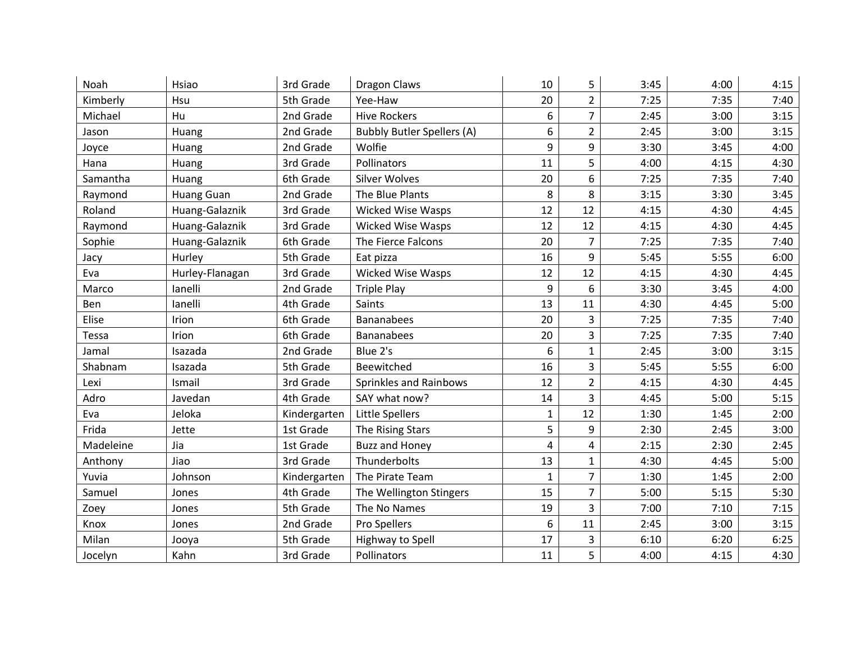| Noah      | Hsiao             | 3rd Grade    | Dragon Claws                      | 10           | 5              | 3:45 | 4:00 | 4:15 |
|-----------|-------------------|--------------|-----------------------------------|--------------|----------------|------|------|------|
| Kimberly  | Hsu               | 5th Grade    | Yee-Haw                           | 20           | $\overline{2}$ | 7:25 | 7:35 | 7:40 |
| Michael   | Hu                | 2nd Grade    | <b>Hive Rockers</b>               | 6            | $\overline{7}$ | 2:45 | 3:00 | 3:15 |
| Jason     | Huang             | 2nd Grade    | <b>Bubbly Butler Spellers (A)</b> | 6            | $\overline{2}$ | 2:45 | 3:00 | 3:15 |
| Joyce     | Huang             | 2nd Grade    | Wolfie                            | 9            | 9              | 3:30 | 3:45 | 4:00 |
| Hana      | Huang             | 3rd Grade    | Pollinators                       | 11           | 5              | 4:00 | 4:15 | 4:30 |
| Samantha  | Huang             | 6th Grade    | <b>Silver Wolves</b>              | 20           | 6              | 7:25 | 7:35 | 7:40 |
| Raymond   | <b>Huang Guan</b> | 2nd Grade    | The Blue Plants                   | 8            | 8              | 3:15 | 3:30 | 3:45 |
| Roland    | Huang-Galaznik    | 3rd Grade    | <b>Wicked Wise Wasps</b>          | 12           | 12             | 4:15 | 4:30 | 4:45 |
| Raymond   | Huang-Galaznik    | 3rd Grade    | <b>Wicked Wise Wasps</b>          | 12           | 12             | 4:15 | 4:30 | 4:45 |
| Sophie    | Huang-Galaznik    | 6th Grade    | The Fierce Falcons                | 20           | $\overline{7}$ | 7:25 | 7:35 | 7:40 |
| Jacy      | Hurley            | 5th Grade    | Eat pizza                         | 16           | 9              | 5:45 | 5:55 | 6:00 |
| Eva       | Hurley-Flanagan   | 3rd Grade    | <b>Wicked Wise Wasps</b>          | 12           | 12             | 4:15 | 4:30 | 4:45 |
| Marco     | lanelli           | 2nd Grade    | <b>Triple Play</b>                | 9            | 6              | 3:30 | 3:45 | 4:00 |
| Ben       | lanelli           | 4th Grade    | Saints                            | 13           | 11             | 4:30 | 4:45 | 5:00 |
| Elise     | Irion             | 6th Grade    | <b>Bananabees</b>                 | 20           | 3              | 7:25 | 7:35 | 7:40 |
| Tessa     | Irion             | 6th Grade    | <b>Bananabees</b>                 | 20           | 3              | 7:25 | 7:35 | 7:40 |
| Jamal     | Isazada           | 2nd Grade    | Blue 2's                          | 6            | $\mathbf{1}$   | 2:45 | 3:00 | 3:15 |
| Shabnam   | Isazada           | 5th Grade    | Beewitched                        | 16           | 3              | 5:45 | 5:55 | 6:00 |
| Lexi      | Ismail            | 3rd Grade    | Sprinkles and Rainbows            | 12           | $\overline{2}$ | 4:15 | 4:30 | 4:45 |
| Adro      | Javedan           | 4th Grade    | SAY what now?                     | 14           | 3              | 4:45 | 5:00 | 5:15 |
| Eva       | Jeloka            | Kindergarten | Little Spellers                   | 1            | 12             | 1:30 | 1:45 | 2:00 |
| Frida     | Jette             | 1st Grade    | The Rising Stars                  | 5            | 9              | 2:30 | 2:45 | 3:00 |
| Madeleine | Jia               | 1st Grade    | <b>Buzz and Honey</b>             | 4            | 4              | 2:15 | 2:30 | 2:45 |
| Anthony   | Jiao              | 3rd Grade    | Thunderbolts                      | 13           | $\mathbf{1}$   | 4:30 | 4:45 | 5:00 |
| Yuvia     | Johnson           | Kindergarten | The Pirate Team                   | $\mathbf{1}$ | $\overline{7}$ | 1:30 | 1:45 | 2:00 |
| Samuel    | Jones             | 4th Grade    | The Wellington Stingers           | 15           | $\overline{7}$ | 5:00 | 5:15 | 5:30 |
| Zoey      | Jones             | 5th Grade    | The No Names                      | 19           | 3              | 7:00 | 7:10 | 7:15 |
| Knox      | Jones             | 2nd Grade    | Pro Spellers                      | 6            | 11             | 2:45 | 3:00 | 3:15 |
| Milan     | Jooya             | 5th Grade    | Highway to Spell                  | 17           | 3              | 6:10 | 6:20 | 6:25 |
| Jocelyn   | Kahn              | 3rd Grade    | Pollinators                       | 11           | 5              | 4:00 | 4:15 | 4:30 |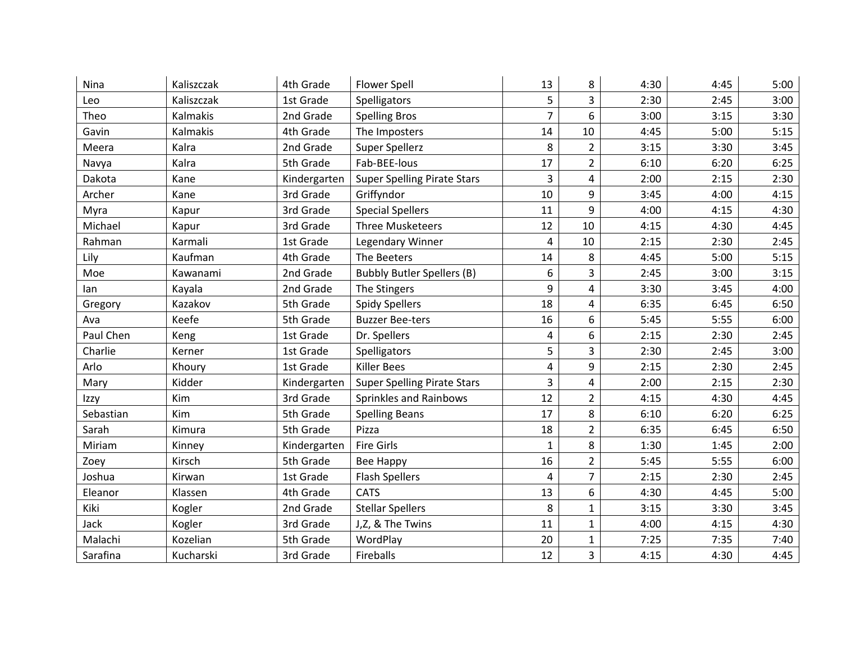| Nina      | Kaliszczak | 4th Grade    | <b>Flower Spell</b>                | 13             | 8              | 4:30 | 4:45 | 5:00 |
|-----------|------------|--------------|------------------------------------|----------------|----------------|------|------|------|
| Leo       | Kaliszczak | 1st Grade    | Spelligators                       | 5              | 3              | 2:30 | 2:45 | 3:00 |
| Theo      | Kalmakis   | 2nd Grade    | <b>Spelling Bros</b>               | $\overline{7}$ | 6              | 3:00 | 3:15 | 3:30 |
| Gavin     | Kalmakis   | 4th Grade    | The Imposters                      | 14             | 10             | 4:45 | 5:00 | 5:15 |
| Meera     | Kalra      | 2nd Grade    | Super Spellerz                     | 8              | $\overline{2}$ | 3:15 | 3:30 | 3:45 |
| Navya     | Kalra      | 5th Grade    | Fab-BEE-lous                       | 17             | $\overline{2}$ | 6:10 | 6:20 | 6:25 |
| Dakota    | Kane       | Kindergarten | <b>Super Spelling Pirate Stars</b> | $\overline{3}$ | 4              | 2:00 | 2:15 | 2:30 |
| Archer    | Kane       | 3rd Grade    | Griffyndor                         | 10             | 9              | 3:45 | 4:00 | 4:15 |
| Myra      | Kapur      | 3rd Grade    | <b>Special Spellers</b>            | 11             | 9              | 4:00 | 4:15 | 4:30 |
| Michael   | Kapur      | 3rd Grade    | <b>Three Musketeers</b>            | 12             | 10             | 4:15 | 4:30 | 4:45 |
| Rahman    | Karmali    | 1st Grade    | Legendary Winner                   | 4              | 10             | 2:15 | 2:30 | 2:45 |
| Lily      | Kaufman    | 4th Grade    | The Beeters                        | 14             | 8              | 4:45 | 5:00 | 5:15 |
| Moe       | Kawanami   | 2nd Grade    | <b>Bubbly Butler Spellers (B)</b>  | 6              | 3              | 2:45 | 3:00 | 3:15 |
| lan       | Kayala     | 2nd Grade    | The Stingers                       | 9              | 4              | 3:30 | 3:45 | 4:00 |
| Gregory   | Kazakov    | 5th Grade    | <b>Spidy Spellers</b>              | 18             | 4              | 6:35 | 6:45 | 6:50 |
| Ava       | Keefe      | 5th Grade    | <b>Buzzer Bee-ters</b>             | 16             | 6              | 5:45 | 5:55 | 6:00 |
| Paul Chen | Keng       | 1st Grade    | Dr. Spellers                       | 4              | 6              | 2:15 | 2:30 | 2:45 |
| Charlie   | Kerner     | 1st Grade    | Spelligators                       | 5              | 3              | 2:30 | 2:45 | 3:00 |
| Arlo      | Khoury     | 1st Grade    | <b>Killer Bees</b>                 | 4              | 9              | 2:15 | 2:30 | 2:45 |
| Mary      | Kidder     | Kindergarten | <b>Super Spelling Pirate Stars</b> | 3              | 4              | 2:00 | 2:15 | 2:30 |
| Izzy      | Kim        | 3rd Grade    | Sprinkles and Rainbows             | 12             | $\overline{2}$ | 4:15 | 4:30 | 4:45 |
| Sebastian | Kim        | 5th Grade    | <b>Spelling Beans</b>              | 17             | 8              | 6:10 | 6:20 | 6:25 |
| Sarah     | Kimura     | 5th Grade    | Pizza                              | 18             | $\overline{2}$ | 6:35 | 6:45 | 6:50 |
| Miriam    | Kinney     | Kindergarten | <b>Fire Girls</b>                  | $\mathbf{1}$   | 8              | 1:30 | 1:45 | 2:00 |
| Zoey      | Kirsch     | 5th Grade    | Bee Happy                          | 16             | $\overline{2}$ | 5:45 | 5:55 | 6:00 |
| Joshua    | Kirwan     | 1st Grade    | <b>Flash Spellers</b>              | 4              | $\overline{7}$ | 2:15 | 2:30 | 2:45 |
| Eleanor   | Klassen    | 4th Grade    | <b>CATS</b>                        | 13             | 6              | 4:30 | 4:45 | 5:00 |
| Kiki      | Kogler     | 2nd Grade    | <b>Stellar Spellers</b>            | 8              | $\mathbf{1}$   | 3:15 | 3:30 | 3:45 |
| Jack      | Kogler     | 3rd Grade    | J,Z, & The Twins                   | 11             | $\mathbf{1}$   | 4:00 | 4:15 | 4:30 |
| Malachi   | Kozelian   | 5th Grade    | WordPlay                           | 20             | $\mathbf{1}$   | 7:25 | 7:35 | 7:40 |
| Sarafina  | Kucharski  | 3rd Grade    | Fireballs                          | 12             | 3              | 4:15 | 4:30 | 4:45 |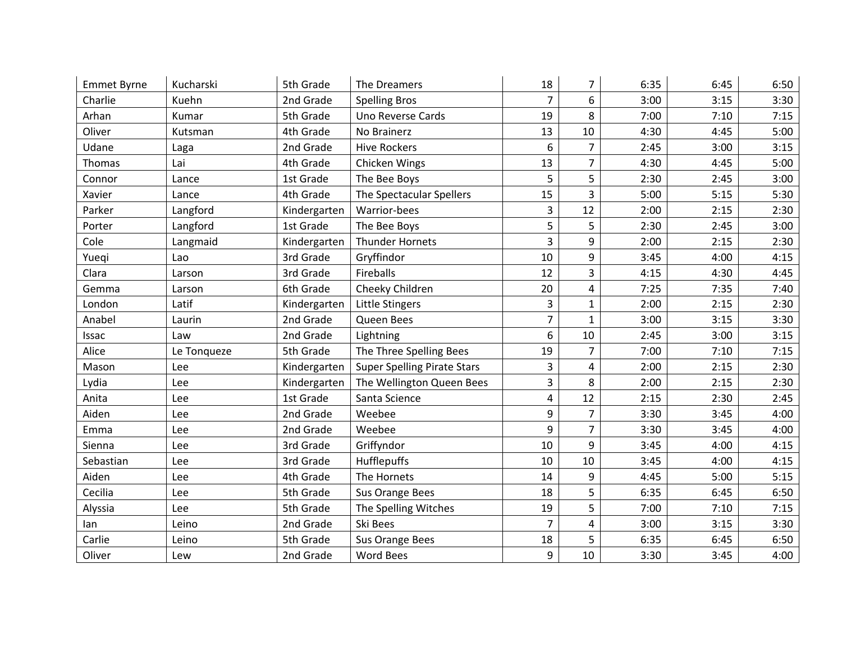| <b>Emmet Byrne</b> | Kucharski   | 5th Grade    | The Dreamers                       | 18             | 7              | 6:35 | 6:45 | 6:50 |
|--------------------|-------------|--------------|------------------------------------|----------------|----------------|------|------|------|
| Charlie            | Kuehn       | 2nd Grade    | <b>Spelling Bros</b>               | $\overline{7}$ | 6              | 3:00 | 3:15 | 3:30 |
| Arhan              | Kumar       | 5th Grade    | Uno Reverse Cards                  | 19             | 8              | 7:00 | 7:10 | 7:15 |
| Oliver             | Kutsman     | 4th Grade    | No Brainerz                        | 13             | 10             | 4:30 | 4:45 | 5:00 |
| Udane              | Laga        | 2nd Grade    | <b>Hive Rockers</b>                | 6              | $\overline{7}$ | 2:45 | 3:00 | 3:15 |
| Thomas             | Lai         | 4th Grade    | Chicken Wings                      | 13             | 7              | 4:30 | 4:45 | 5:00 |
| Connor             | Lance       | 1st Grade    | The Bee Boys                       | 5              | 5              | 2:30 | 2:45 | 3:00 |
| Xavier             | Lance       | 4th Grade    | The Spectacular Spellers           | 15             | 3              | 5:00 | 5:15 | 5:30 |
| Parker             | Langford    | Kindergarten | Warrior-bees                       | $\overline{3}$ | 12             | 2:00 | 2:15 | 2:30 |
| Porter             | Langford    | 1st Grade    | The Bee Boys                       | 5              | 5              | 2:30 | 2:45 | 3:00 |
| Cole               | Langmaid    | Kindergarten | Thunder Hornets                    | 3              | 9              | 2:00 | 2:15 | 2:30 |
| Yueqi              | Lao         | 3rd Grade    | Gryffindor                         | 10             | 9              | 3:45 | 4:00 | 4:15 |
| Clara              | Larson      | 3rd Grade    | Fireballs                          | 12             | 3              | 4:15 | 4:30 | 4:45 |
| Gemma              | Larson      | 6th Grade    | Cheeky Children                    | 20             | 4              | 7:25 | 7:35 | 7:40 |
| London             | Latif       | Kindergarten | Little Stingers                    | 3              | $\mathbf{1}$   | 2:00 | 2:15 | 2:30 |
| Anabel             | Laurin      | 2nd Grade    | Queen Bees                         | 7              | $\mathbf{1}$   | 3:00 | 3:15 | 3:30 |
| Issac              | Law         | 2nd Grade    | Lightning                          | 6              | 10             | 2:45 | 3:00 | 3:15 |
| Alice              | Le Tonqueze | 5th Grade    | The Three Spelling Bees            | 19             | 7              | 7:00 | 7:10 | 7:15 |
| Mason              | Lee         | Kindergarten | <b>Super Spelling Pirate Stars</b> | 3              | 4              | 2:00 | 2:15 | 2:30 |
| Lydia              | Lee         | Kindergarten | The Wellington Queen Bees          | 3              | 8              | 2:00 | 2:15 | 2:30 |
| Anita              | Lee         | 1st Grade    | Santa Science                      | 4              | 12             | 2:15 | 2:30 | 2:45 |
| Aiden              | Lee         | 2nd Grade    | Weebee                             | 9              | $\overline{7}$ | 3:30 | 3:45 | 4:00 |
| Emma               | Lee         | 2nd Grade    | Weebee                             | 9              | 7              | 3:30 | 3:45 | 4:00 |
| Sienna             | Lee         | 3rd Grade    | Griffyndor                         | 10             | 9              | 3:45 | 4:00 | 4:15 |
| Sebastian          | Lee         | 3rd Grade    | Hufflepuffs                        | 10             | 10             | 3:45 | 4:00 | 4:15 |
| Aiden              | Lee         | 4th Grade    | The Hornets                        | 14             | 9              | 4:45 | 5:00 | 5:15 |
| Cecilia            | Lee         | 5th Grade    | Sus Orange Bees                    | 18             | 5              | 6:35 | 6:45 | 6:50 |
| Alyssia            | Lee         | 5th Grade    | The Spelling Witches               | 19             | 5              | 7:00 | 7:10 | 7:15 |
| lan                | Leino       | 2nd Grade    | Ski Bees                           | $\overline{7}$ | 4              | 3:00 | 3:15 | 3:30 |
| Carlie             | Leino       | 5th Grade    | Sus Orange Bees                    | 18             | 5              | 6:35 | 6:45 | 6:50 |
| Oliver             | Lew         | 2nd Grade    | <b>Word Bees</b>                   | 9              | 10             | 3:30 | 3:45 | 4:00 |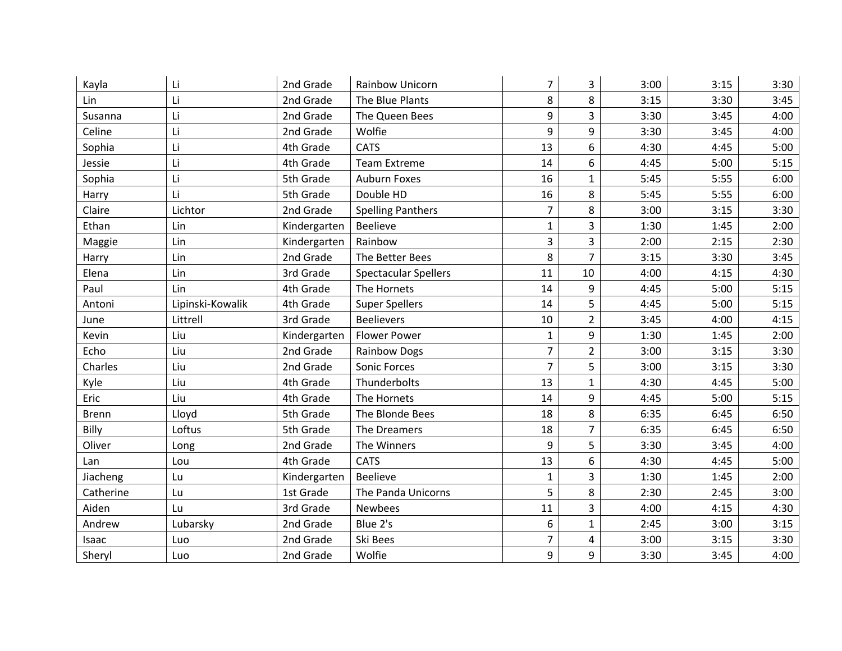| Kayla        | Li               | 2nd Grade    | <b>Rainbow Unicorn</b>      | 7              | 3              | 3:00 | 3:15 | 3:30 |
|--------------|------------------|--------------|-----------------------------|----------------|----------------|------|------|------|
| Lin          | Li               | 2nd Grade    | The Blue Plants             | 8              | 8              | 3:15 | 3:30 | 3:45 |
| Susanna      | Li               | 2nd Grade    | The Queen Bees              | 9              | 3              | 3:30 | 3:45 | 4:00 |
| Celine       | Li               | 2nd Grade    | Wolfie                      | 9              | 9              | 3:30 | 3:45 | 4:00 |
| Sophia       | Li               | 4th Grade    | <b>CATS</b>                 | 13             | 6              | 4:30 | 4:45 | 5:00 |
| Jessie       | Li               | 4th Grade    | <b>Team Extreme</b>         | 14             | 6              | 4:45 | 5:00 | 5:15 |
| Sophia       | Li               | 5th Grade    | Auburn Foxes                | 16             | $\mathbf{1}$   | 5:45 | 5:55 | 6:00 |
| Harry        | Li               | 5th Grade    | Double HD                   | 16             | 8              | 5:45 | 5:55 | 6:00 |
| Claire       | Lichtor          | 2nd Grade    | <b>Spelling Panthers</b>    | $\overline{7}$ | 8              | 3:00 | 3:15 | 3:30 |
| Ethan        | Lin              | Kindergarten | <b>Beelieve</b>             | $\mathbf{1}$   | 3              | 1:30 | 1:45 | 2:00 |
| Maggie       | Lin              | Kindergarten | Rainbow                     | 3              | 3              | 2:00 | 2:15 | 2:30 |
| Harry        | Lin              | 2nd Grade    | The Better Bees             | 8              | $\overline{7}$ | 3:15 | 3:30 | 3:45 |
| Elena        | Lin              | 3rd Grade    | <b>Spectacular Spellers</b> | 11             | 10             | 4:00 | 4:15 | 4:30 |
| Paul         | Lin              | 4th Grade    | The Hornets                 | 14             | 9              | 4:45 | 5:00 | 5:15 |
| Antoni       | Lipinski-Kowalik | 4th Grade    | <b>Super Spellers</b>       | 14             | 5              | 4:45 | 5:00 | 5:15 |
| June         | Littrell         | 3rd Grade    | <b>Beelievers</b>           | 10             | $\overline{2}$ | 3:45 | 4:00 | 4:15 |
| Kevin        | Liu              | Kindergarten | <b>Flower Power</b>         | $\mathbf{1}$   | 9              | 1:30 | 1:45 | 2:00 |
| Echo         | Liu              | 2nd Grade    | <b>Rainbow Dogs</b>         | $\overline{7}$ | $\overline{2}$ | 3:00 | 3:15 | 3:30 |
| Charles      | Liu              | 2nd Grade    | Sonic Forces                | $\overline{7}$ | 5              | 3:00 | 3:15 | 3:30 |
| Kyle         | Liu              | 4th Grade    | Thunderbolts                | 13             | $\mathbf{1}$   | 4:30 | 4:45 | 5:00 |
| Eric         | Liu              | 4th Grade    | The Hornets                 | 14             | 9              | 4:45 | 5:00 | 5:15 |
| <b>Brenn</b> | Lloyd            | 5th Grade    | The Blonde Bees             | 18             | 8              | 6:35 | 6:45 | 6:50 |
| Billy        | Loftus           | 5th Grade    | The Dreamers                | 18             | 7              | 6:35 | 6:45 | 6:50 |
| Oliver       | Long             | 2nd Grade    | The Winners                 | 9              | 5              | 3:30 | 3:45 | 4:00 |
| Lan          | Lou              | 4th Grade    | <b>CATS</b>                 | 13             | 6              | 4:30 | 4:45 | 5:00 |
| Jiacheng     | Lu               | Kindergarten | <b>Beelieve</b>             | $\mathbf{1}$   | 3              | 1:30 | 1:45 | 2:00 |
| Catherine    | Lu               | 1st Grade    | The Panda Unicorns          | 5              | 8              | 2:30 | 2:45 | 3:00 |
| Aiden        | Lu               | 3rd Grade    | <b>Newbees</b>              | 11             | 3              | 4:00 | 4:15 | 4:30 |
| Andrew       | Lubarsky         | 2nd Grade    | Blue 2's                    | 6              | $\mathbf{1}$   | 2:45 | 3:00 | 3:15 |
| Isaac        | Luo              | 2nd Grade    | Ski Bees                    | $\overline{7}$ | 4              | 3:00 | 3:15 | 3:30 |
| Sheryl       | Luo              | 2nd Grade    | Wolfie                      | 9              | 9              | 3:30 | 3:45 | 4:00 |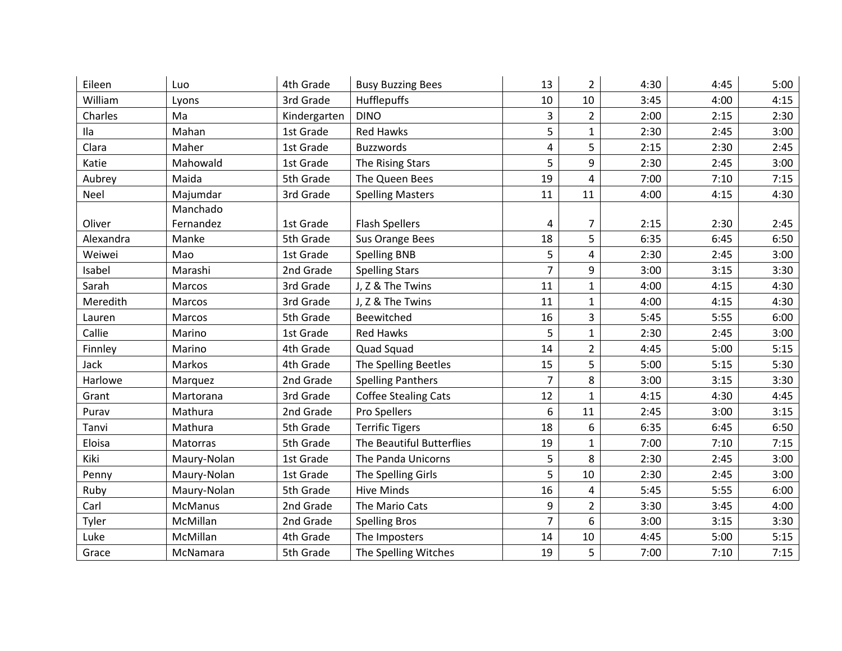| Eileen    | Luo                   | 4th Grade    | <b>Busy Buzzing Bees</b>    | 13             | $\overline{2}$ | 4:30 | 4:45 | 5:00 |
|-----------|-----------------------|--------------|-----------------------------|----------------|----------------|------|------|------|
| William   | Lyons                 | 3rd Grade    | Hufflepuffs                 | 10             | 10             | 3:45 | 4:00 | 4:15 |
| Charles   | Ma                    | Kindergarten | <b>DINO</b>                 | 3              | $\overline{2}$ | 2:00 | 2:15 | 2:30 |
| Ila       | Mahan                 | 1st Grade    | <b>Red Hawks</b>            | 5              | $\mathbf{1}$   | 2:30 | 2:45 | 3:00 |
| Clara     | Maher                 | 1st Grade    | <b>Buzzwords</b>            | $\overline{4}$ | 5              | 2:15 | 2:30 | 2:45 |
| Katie     | Mahowald              | 1st Grade    | The Rising Stars            | 5              | 9              | 2:30 | 2:45 | 3:00 |
| Aubrey    | Maida                 | 5th Grade    | The Queen Bees              | 19             | 4              | 7:00 | 7:10 | 7:15 |
| Neel      | Majumdar              | 3rd Grade    | <b>Spelling Masters</b>     | 11             | 11             | 4:00 | 4:15 | 4:30 |
| Oliver    | Manchado<br>Fernandez | 1st Grade    | <b>Flash Spellers</b>       | 4              | 7              | 2:15 | 2:30 | 2:45 |
| Alexandra | Manke                 | 5th Grade    | Sus Orange Bees             | 18             | 5              | 6:35 | 6:45 | 6:50 |
| Weiwei    | Mao                   | 1st Grade    | <b>Spelling BNB</b>         | 5              | $\overline{4}$ | 2:30 | 2:45 | 3:00 |
| Isabel    | Marashi               | 2nd Grade    | <b>Spelling Stars</b>       | $\overline{7}$ | 9              | 3:00 | 3:15 | 3:30 |
| Sarah     | Marcos                | 3rd Grade    | J, Z & The Twins            | 11             | $\mathbf{1}$   | 4:00 | 4:15 | 4:30 |
| Meredith  | Marcos                | 3rd Grade    | J, Z & The Twins            | 11             | $\mathbf{1}$   | 4:00 | 4:15 | 4:30 |
| Lauren    | Marcos                | 5th Grade    | Beewitched                  | 16             | $\overline{3}$ | 5:45 | 5:55 | 6:00 |
| Callie    | Marino                | 1st Grade    | <b>Red Hawks</b>            | 5              | $\mathbf{1}$   | 2:30 | 2:45 | 3:00 |
| Finnley   | Marino                | 4th Grade    | Quad Squad                  | 14             | $\overline{2}$ | 4:45 | 5:00 | 5:15 |
| Jack      | Markos                | 4th Grade    | The Spelling Beetles        | 15             | 5              | 5:00 | 5:15 | 5:30 |
| Harlowe   | Marquez               | 2nd Grade    | <b>Spelling Panthers</b>    | $\overline{7}$ | 8              | 3:00 | 3:15 | 3:30 |
| Grant     | Martorana             | 3rd Grade    | <b>Coffee Stealing Cats</b> | 12             | $\mathbf{1}$   | 4:15 | 4:30 | 4:45 |
| Purav     | Mathura               | 2nd Grade    | Pro Spellers                | 6              | 11             | 2:45 | 3:00 | 3:15 |
| Tanvi     | Mathura               | 5th Grade    | <b>Terrific Tigers</b>      | 18             | 6              | 6:35 | 6:45 | 6:50 |
| Eloisa    | Matorras              | 5th Grade    | The Beautiful Butterflies   | 19             | $\mathbf{1}$   | 7:00 | 7:10 | 7:15 |
| Kiki      | Maury-Nolan           | 1st Grade    | The Panda Unicorns          | 5              | 8              | 2:30 | 2:45 | 3:00 |
| Penny     | Maury-Nolan           | 1st Grade    | The Spelling Girls          | 5              | 10             | 2:30 | 2:45 | 3:00 |
| Ruby      | Maury-Nolan           | 5th Grade    | <b>Hive Minds</b>           | 16             | 4              | 5:45 | 5:55 | 6:00 |
| Carl      | McManus               | 2nd Grade    | The Mario Cats              | 9              | $\overline{2}$ | 3:30 | 3:45 | 4:00 |
| Tyler     | McMillan              | 2nd Grade    | <b>Spelling Bros</b>        | $\overline{7}$ | 6              | 3:00 | 3:15 | 3:30 |
| Luke      | McMillan              | 4th Grade    | The Imposters               | 14             | 10             | 4:45 | 5:00 | 5:15 |
| Grace     | McNamara              | 5th Grade    | The Spelling Witches        | 19             | 5              | 7:00 | 7:10 | 7:15 |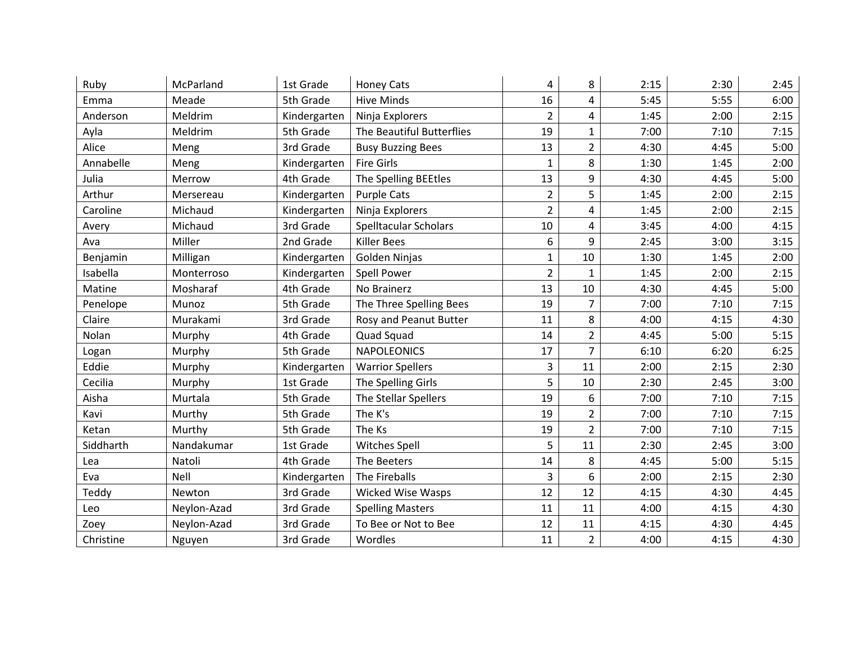| Ruby      | McParland   | 1st Grade    | <b>Honey Cats</b>            | 4              | 8              | 2:15 | 2:30 | 2:45 |
|-----------|-------------|--------------|------------------------------|----------------|----------------|------|------|------|
| Emma      | Meade       | 5th Grade    | <b>Hive Minds</b>            | 16             | 4              | 5:45 | 5:55 | 6:00 |
| Anderson  | Meldrim     | Kindergarten | Ninja Explorers              | $\overline{2}$ | 4              | 1:45 | 2:00 | 2:15 |
| Ayla      | Meldrim     | 5th Grade    | The Beautiful Butterflies    | 19             | $\mathbf{1}$   | 7:00 | 7:10 | 7:15 |
| Alice     | Meng        | 3rd Grade    | <b>Busy Buzzing Bees</b>     | 13             | $\overline{2}$ | 4:30 | 4:45 | 5:00 |
| Annabelle | Meng        | Kindergarten | <b>Fire Girls</b>            | $\mathbf{1}$   | 8              | 1:30 | 1:45 | 2:00 |
| Julia     | Merrow      | 4th Grade    | The Spelling BEEtles         | 13             | 9              | 4:30 | 4:45 | 5:00 |
| Arthur    | Mersereau   | Kindergarten | <b>Purple Cats</b>           | $\overline{2}$ | 5              | 1:45 | 2:00 | 2:15 |
| Caroline  | Michaud     | Kindergarten | Ninja Explorers              | $\overline{2}$ | 4              | 1:45 | 2:00 | 2:15 |
| Avery     | Michaud     | 3rd Grade    | <b>Spelltacular Scholars</b> | 10             | 4              | 3:45 | 4:00 | 4:15 |
| Ava       | Miller      | 2nd Grade    | <b>Killer Bees</b>           | 6              | 9              | 2:45 | 3:00 | 3:15 |
| Benjamin  | Milligan    | Kindergarten | Golden Ninjas                | 1              | 10             | 1:30 | 1:45 | 2:00 |
| Isabella  | Monterroso  | Kindergarten | <b>Spell Power</b>           | $\overline{2}$ | $\mathbf{1}$   | 1:45 | 2:00 | 2:15 |
| Matine    | Mosharaf    | 4th Grade    | No Brainerz                  | 13             | 10             | 4:30 | 4:45 | 5:00 |
| Penelope  | Munoz       | 5th Grade    | The Three Spelling Bees      | 19             | $\overline{7}$ | 7:00 | 7:10 | 7:15 |
| Claire    | Murakami    | 3rd Grade    | Rosy and Peanut Butter       | 11             | 8              | 4:00 | 4:15 | 4:30 |
| Nolan     | Murphy      | 4th Grade    | Quad Squad                   | 14             | $\overline{2}$ | 4:45 | 5:00 | 5:15 |
| Logan     | Murphy      | 5th Grade    | <b>NAPOLEONICS</b>           | 17             | $\overline{7}$ | 6:10 | 6:20 | 6:25 |
| Eddie     | Murphy      | Kindergarten | <b>Warrior Spellers</b>      | 3              | 11             | 2:00 | 2:15 | 2:30 |
| Cecilia   | Murphy      | 1st Grade    | The Spelling Girls           | 5              | 10             | 2:30 | 2:45 | 3:00 |
| Aisha     | Murtala     | 5th Grade    | The Stellar Spellers         | 19             | 6              | 7:00 | 7:10 | 7:15 |
| Kavi      | Murthy      | 5th Grade    | The K's                      | 19             | $\overline{2}$ | 7:00 | 7:10 | 7:15 |
| Ketan     | Murthy      | 5th Grade    | The Ks                       | 19             | $\overline{2}$ | 7:00 | 7:10 | 7:15 |
| Siddharth | Nandakumar  | 1st Grade    | <b>Witches Spell</b>         | 5              | 11             | 2:30 | 2:45 | 3:00 |
| Lea       | Natoli      | 4th Grade    | The Beeters                  | 14             | 8              | 4:45 | 5:00 | 5:15 |
| Eva       | Nell        | Kindergarten | The Fireballs                | 3              | 6              | 2:00 | 2:15 | 2:30 |
| Teddy     | Newton      | 3rd Grade    | <b>Wicked Wise Wasps</b>     | 12             | 12             | 4:15 | 4:30 | 4:45 |
| Leo       | Neylon-Azad | 3rd Grade    | <b>Spelling Masters</b>      | 11             | 11             | 4:00 | 4:15 | 4:30 |
| Zoey      | Neylon-Azad | 3rd Grade    | To Bee or Not to Bee         | 12             | 11             | 4:15 | 4:30 | 4:45 |
| Christine | Nguyen      | 3rd Grade    | Wordles                      | 11             | $\overline{2}$ | 4:00 | 4:15 | 4:30 |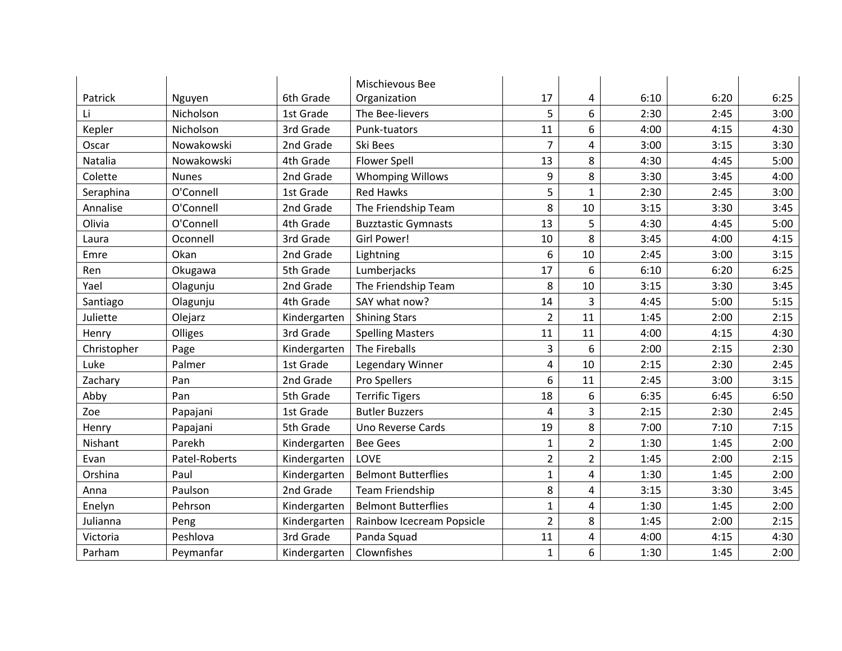|             |               |              | Mischievous Bee            |                |                |      |      |      |
|-------------|---------------|--------------|----------------------------|----------------|----------------|------|------|------|
| Patrick     | Nguyen        | 6th Grade    | Organization               | 17             | 4              | 6:10 | 6:20 | 6:25 |
| Li          | Nicholson     | 1st Grade    | The Bee-lievers            | 5              | 6              | 2:30 | 2:45 | 3:00 |
| Kepler      | Nicholson     | 3rd Grade    | Punk-tuators               | 11             | 6              | 4:00 | 4:15 | 4:30 |
| Oscar       | Nowakowski    | 2nd Grade    | Ski Bees                   | $\overline{7}$ | 4              | 3:00 | 3:15 | 3:30 |
| Natalia     | Nowakowski    | 4th Grade    | <b>Flower Spell</b>        | 13             | 8              | 4:30 | 4:45 | 5:00 |
| Colette     | <b>Nunes</b>  | 2nd Grade    | <b>Whomping Willows</b>    | 9              | 8              | 3:30 | 3:45 | 4:00 |
| Seraphina   | O'Connell     | 1st Grade    | <b>Red Hawks</b>           | 5              | 1              | 2:30 | 2:45 | 3:00 |
| Annalise    | O'Connell     | 2nd Grade    | The Friendship Team        | 8              | 10             | 3:15 | 3:30 | 3:45 |
| Olivia      | O'Connell     | 4th Grade    | <b>Buzztastic Gymnasts</b> | 13             | 5              | 4:30 | 4:45 | 5:00 |
| Laura       | Oconnell      | 3rd Grade    | Girl Power!                | 10             | 8              | 3:45 | 4:00 | 4:15 |
| Emre        | Okan          | 2nd Grade    | Lightning                  | 6              | 10             | 2:45 | 3:00 | 3:15 |
| Ren         | Okugawa       | 5th Grade    | Lumberjacks                | 17             | 6              | 6:10 | 6:20 | 6:25 |
| Yael        | Olagunju      | 2nd Grade    | The Friendship Team        | 8              | 10             | 3:15 | 3:30 | 3:45 |
| Santiago    | Olagunju      | 4th Grade    | SAY what now?              | 14             | 3              | 4:45 | 5:00 | 5:15 |
| Juliette    | Olejarz       | Kindergarten | <b>Shining Stars</b>       | $\overline{2}$ | 11             | 1:45 | 2:00 | 2:15 |
| Henry       | Olliges       | 3rd Grade    | <b>Spelling Masters</b>    | 11             | 11             | 4:00 | 4:15 | 4:30 |
| Christopher | Page          | Kindergarten | The Fireballs              | 3              | 6              | 2:00 | 2:15 | 2:30 |
| Luke        | Palmer        | 1st Grade    | Legendary Winner           | 4              | 10             | 2:15 | 2:30 | 2:45 |
| Zachary     | Pan           | 2nd Grade    | Pro Spellers               | 6              | 11             | 2:45 | 3:00 | 3:15 |
| Abby        | Pan           | 5th Grade    | <b>Terrific Tigers</b>     | 18             | 6              | 6:35 | 6:45 | 6:50 |
| Zoe         | Papajani      | 1st Grade    | <b>Butler Buzzers</b>      | 4              | 3              | 2:15 | 2:30 | 2:45 |
| Henry       | Papajani      | 5th Grade    | Uno Reverse Cards          | 19             | 8              | 7:00 | 7:10 | 7:15 |
| Nishant     | Parekh        | Kindergarten | <b>Bee Gees</b>            | $\mathbf{1}$   | $\overline{2}$ | 1:30 | 1:45 | 2:00 |
| Evan        | Patel-Roberts | Kindergarten | LOVE                       | $\overline{2}$ | $\overline{2}$ | 1:45 | 2:00 | 2:15 |
| Orshina     | Paul          | Kindergarten | <b>Belmont Butterflies</b> | $\mathbf{1}$   | 4              | 1:30 | 1:45 | 2:00 |
| Anna        | Paulson       | 2nd Grade    | <b>Team Friendship</b>     | 8              | 4              | 3:15 | 3:30 | 3:45 |
| Enelyn      | Pehrson       | Kindergarten | <b>Belmont Butterflies</b> | $\mathbf{1}$   | 4              | 1:30 | 1:45 | 2:00 |
| Julianna    | Peng          | Kindergarten | Rainbow Icecream Popsicle  | $\overline{2}$ | 8              | 1:45 | 2:00 | 2:15 |
| Victoria    | Peshlova      | 3rd Grade    | Panda Squad                | 11             | 4              | 4:00 | 4:15 | 4:30 |
| Parham      | Peymanfar     | Kindergarten | Clownfishes                | $\mathbf{1}$   | 6              | 1:30 | 1:45 | 2:00 |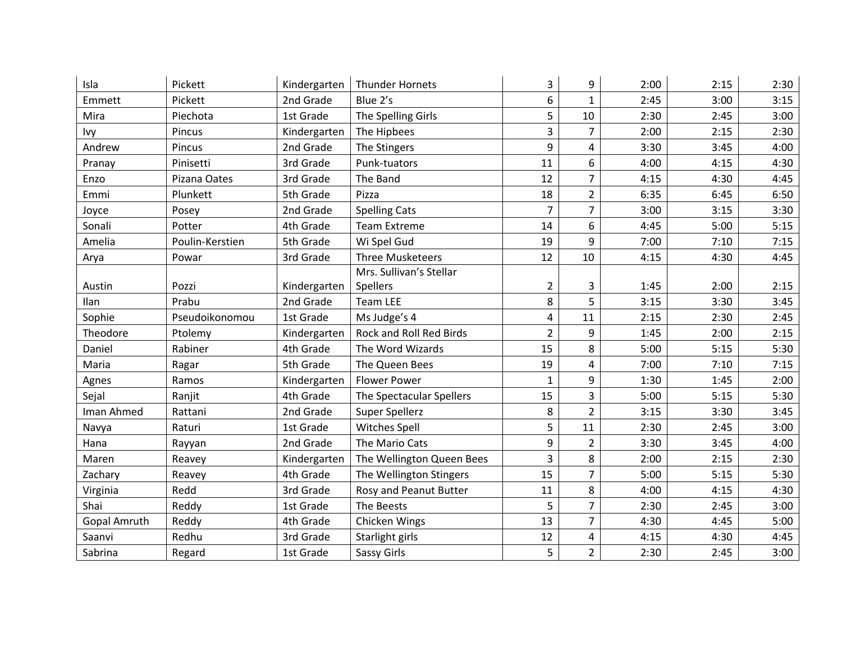| Isla                | Pickett         | Kindergarten | <b>Thunder Hornets</b>    | 3              | 9              | 2:00 | 2:15 | 2:30 |
|---------------------|-----------------|--------------|---------------------------|----------------|----------------|------|------|------|
| Emmett              | Pickett         | 2nd Grade    | Blue 2's                  | 6              | $\mathbf{1}$   | 2:45 | 3:00 | 3:15 |
| Mira                | Piechota        | 1st Grade    | The Spelling Girls        | 5              | 10             | 2:30 | 2:45 | 3:00 |
| Ivy                 | Pincus          | Kindergarten | The Hipbees               | 3              | $\overline{7}$ | 2:00 | 2:15 | 2:30 |
| Andrew              | Pincus          | 2nd Grade    | The Stingers              | 9              | 4              | 3:30 | 3:45 | 4:00 |
| Pranay              | Pinisetti       | 3rd Grade    | Punk-tuators              | 11             | 6              | 4:00 | 4:15 | 4:30 |
| Enzo                | Pizana Oates    | 3rd Grade    | The Band                  | 12             | $\overline{7}$ | 4:15 | 4:30 | 4:45 |
| Emmi                | Plunkett        | 5th Grade    | Pizza                     | 18             | $\overline{2}$ | 6:35 | 6:45 | 6:50 |
| Joyce               | Posey           | 2nd Grade    | <b>Spelling Cats</b>      | $\overline{7}$ | 7              | 3:00 | 3:15 | 3:30 |
| Sonali              | Potter          | 4th Grade    | <b>Team Extreme</b>       | 14             | 6              | 4:45 | 5:00 | 5:15 |
| Amelia              | Poulin-Kerstien | 5th Grade    | Wi Spel Gud               | 19             | 9              | 7:00 | 7:10 | 7:15 |
| Arya                | Powar           | 3rd Grade    | <b>Three Musketeers</b>   | 12             | 10             | 4:15 | 4:30 | 4:45 |
|                     |                 |              | Mrs. Sullivan's Stellar   |                |                |      |      |      |
| Austin              | Pozzi           | Kindergarten | Spellers                  | $\overline{a}$ | 3              | 1:45 | 2:00 | 2:15 |
| Ilan                | Prabu           | 2nd Grade    | <b>Team LEE</b>           | 8              | 5              | 3:15 | 3:30 | 3:45 |
| Sophie              | Pseudoikonomou  | 1st Grade    | Ms Judge's 4              | 4              | 11             | 2:15 | 2:30 | 2:45 |
| Theodore            | Ptolemy         | Kindergarten | Rock and Roll Red Birds   | $\overline{2}$ | 9              | 1:45 | 2:00 | 2:15 |
| Daniel              | Rabiner         | 4th Grade    | The Word Wizards          | 15             | 8              | 5:00 | 5:15 | 5:30 |
| Maria               | Ragar           | 5th Grade    | The Queen Bees            | 19             | 4              | 7:00 | 7:10 | 7:15 |
| Agnes               | Ramos           | Kindergarten | <b>Flower Power</b>       | $\mathbf{1}$   | 9              | 1:30 | 1:45 | 2:00 |
| Sejal               | Ranjit          | 4th Grade    | The Spectacular Spellers  | 15             | 3              | 5:00 | 5:15 | 5:30 |
| Iman Ahmed          | Rattani         | 2nd Grade    | Super Spellerz            | 8              | $\overline{2}$ | 3:15 | 3:30 | 3:45 |
| Navya               | Raturi          | 1st Grade    | <b>Witches Spell</b>      | 5              | 11             | 2:30 | 2:45 | 3:00 |
| Hana                | Rayyan          | 2nd Grade    | The Mario Cats            | 9              | $\overline{2}$ | 3:30 | 3:45 | 4:00 |
| Maren               | Reavey          | Kindergarten | The Wellington Queen Bees | 3              | 8              | 2:00 | 2:15 | 2:30 |
| Zachary             | Reavey          | 4th Grade    | The Wellington Stingers   | 15             | $\overline{7}$ | 5:00 | 5:15 | 5:30 |
| Virginia            | Redd            | 3rd Grade    | Rosy and Peanut Butter    | 11             | 8              | 4:00 | 4:15 | 4:30 |
| Shai                | Reddy           | 1st Grade    | The Beests                | 5              | 7              | 2:30 | 2:45 | 3:00 |
| <b>Gopal Amruth</b> | Reddy           | 4th Grade    | Chicken Wings             | 13             | 7              | 4:30 | 4:45 | 5:00 |
| Saanvi              | Redhu           | 3rd Grade    | Starlight girls           | 12             | 4              | 4:15 | 4:30 | 4:45 |
| Sabrina             | Regard          | 1st Grade    | <b>Sassy Girls</b>        | 5              | $\overline{2}$ | 2:30 | 2:45 | 3:00 |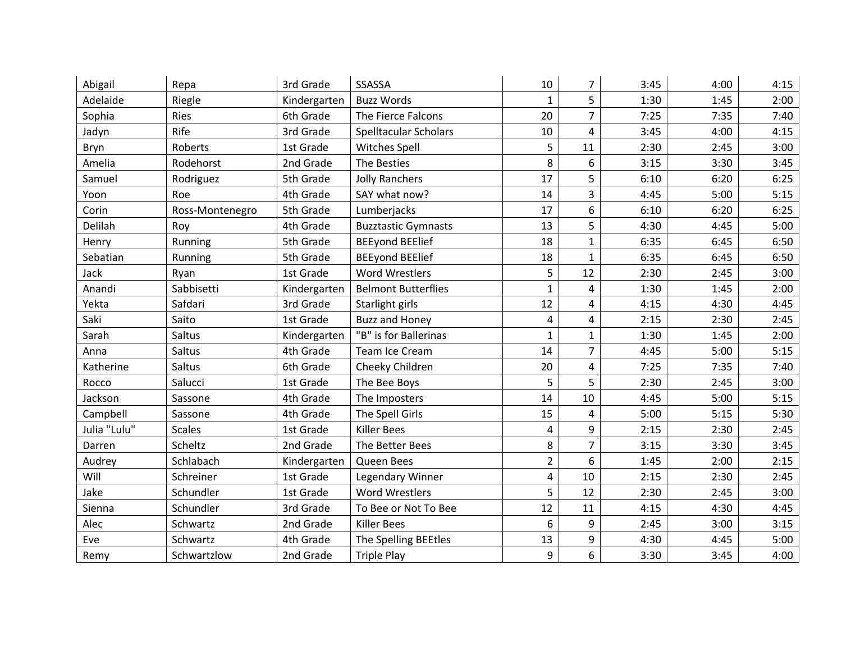| Abigail      | Repa            | 3rd Grade    | SSASSA                       | 10             | 7              | 3:45 | 4:00 | 4:15 |
|--------------|-----------------|--------------|------------------------------|----------------|----------------|------|------|------|
| Adelaide     | Riegle          | Kindergarten | <b>Buzz Words</b>            | $\mathbf{1}$   | 5              | 1:30 | 1:45 | 2:00 |
| Sophia       | Ries            | 6th Grade    | The Fierce Falcons           | 20             | 7              | 7:25 | 7:35 | 7:40 |
| Jadyn        | Rife            | 3rd Grade    | <b>Spelltacular Scholars</b> | 10             | 4              | 3:45 | 4:00 | 4:15 |
| Bryn         | Roberts         | 1st Grade    | <b>Witches Spell</b>         | 5              | 11             | 2:30 | 2:45 | 3:00 |
| Amelia       | Rodehorst       | 2nd Grade    | The Besties                  | 8              | 6              | 3:15 | 3:30 | 3:45 |
| Samuel       | Rodriguez       | 5th Grade    | <b>Jolly Ranchers</b>        | 17             | 5              | 6:10 | 6:20 | 6:25 |
| Yoon         | Roe             | 4th Grade    | SAY what now?                | 14             | 3              | 4:45 | 5:00 | 5:15 |
| Corin        | Ross-Montenegro | 5th Grade    | Lumberjacks                  | 17             | 6              | 6:10 | 6:20 | 6:25 |
| Delilah      | Roy             | 4th Grade    | <b>Buzztastic Gymnasts</b>   | 13             | 5              | 4:30 | 4:45 | 5:00 |
| Henry        | Running         | 5th Grade    | <b>BEEyond BEElief</b>       | 18             | $\mathbf{1}$   | 6:35 | 6:45 | 6:50 |
| Sebatian     | Running         | 5th Grade    | <b>BEEyond BEElief</b>       | 18             | $\mathbf{1}$   | 6:35 | 6:45 | 6:50 |
| Jack         | Ryan            | 1st Grade    | <b>Word Wrestlers</b>        | 5              | 12             | 2:30 | 2:45 | 3:00 |
| Anandi       | Sabbisetti      | Kindergarten | <b>Belmont Butterflies</b>   | $\mathbf{1}$   | $\overline{a}$ | 1:30 | 1:45 | 2:00 |
| Yekta        | Safdari         | 3rd Grade    | Starlight girls              | 12             | 4              | 4:15 | 4:30 | 4:45 |
| Saki         | Saito           | 1st Grade    | <b>Buzz and Honey</b>        | 4              | 4              | 2:15 | 2:30 | 2:45 |
| Sarah        | Saltus          | Kindergarten | "B" is for Ballerinas        | $\mathbf{1}$   | $\mathbf{1}$   | 1:30 | 1:45 | 2:00 |
| Anna         | Saltus          | 4th Grade    | Team Ice Cream               | 14             | $\overline{7}$ | 4:45 | 5:00 | 5:15 |
| Katherine    | Saltus          | 6th Grade    | Cheeky Children              | 20             | 4              | 7:25 | 7:35 | 7:40 |
| Rocco        | Salucci         | 1st Grade    | The Bee Boys                 | 5              | 5              | 2:30 | 2:45 | 3:00 |
| Jackson      | Sassone         | 4th Grade    | The Imposters                | 14             | 10             | 4:45 | 5:00 | 5:15 |
| Campbell     | Sassone         | 4th Grade    | The Spell Girls              | 15             | 4              | 5:00 | 5:15 | 5:30 |
| Julia "Lulu" | <b>Scales</b>   | 1st Grade    | <b>Killer Bees</b>           | 4              | 9              | 2:15 | 2:30 | 2:45 |
| Darren       | Scheltz         | 2nd Grade    | The Better Bees              | 8              | $\overline{7}$ | 3:15 | 3:30 | 3:45 |
| Audrey       | Schlabach       | Kindergarten | Queen Bees                   | $\overline{2}$ | 6              | 1:45 | 2:00 | 2:15 |
| Will         | Schreiner       | 1st Grade    | Legendary Winner             | 4              | 10             | 2:15 | 2:30 | 2:45 |
| Jake         | Schundler       | 1st Grade    | <b>Word Wrestlers</b>        | 5              | 12             | 2:30 | 2:45 | 3:00 |
| Sienna       | Schundler       | 3rd Grade    | To Bee or Not To Bee         | 12             | 11             | 4:15 | 4:30 | 4:45 |
| Alec         | Schwartz        | 2nd Grade    | <b>Killer Bees</b>           | 6              | 9              | 2:45 | 3:00 | 3:15 |
| Eve          | Schwartz        | 4th Grade    | The Spelling BEEtles         | 13             | 9              | 4:30 | 4:45 | 5:00 |
| Remy         | Schwartzlow     | 2nd Grade    | <b>Triple Play</b>           | 9              | 6              | 3:30 | 3:45 | 4:00 |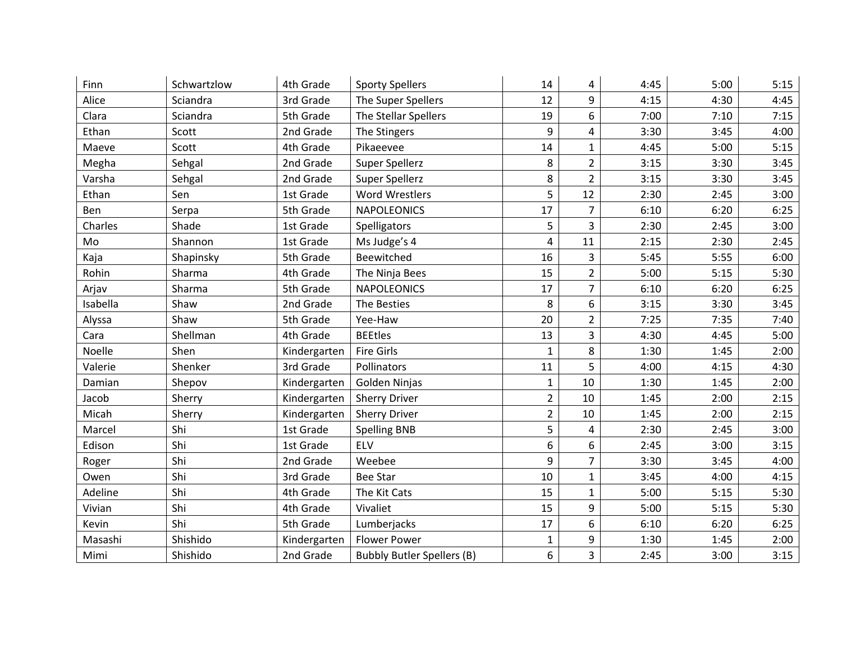| Finn     | Schwartzlow | 4th Grade    | <b>Sporty Spellers</b>            | 14             | 4              | 4:45 | 5:00 | 5:15 |
|----------|-------------|--------------|-----------------------------------|----------------|----------------|------|------|------|
| Alice    | Sciandra    | 3rd Grade    | The Super Spellers                | 12             | 9              | 4:15 | 4:30 | 4:45 |
| Clara    | Sciandra    | 5th Grade    | The Stellar Spellers              | 19             | 6              | 7:00 | 7:10 | 7:15 |
| Ethan    | Scott       | 2nd Grade    | The Stingers                      | 9              | 4              | 3:30 | 3:45 | 4:00 |
| Maeve    | Scott       | 4th Grade    | Pikaeevee                         | 14             | $\mathbf{1}$   | 4:45 | 5:00 | 5:15 |
| Megha    | Sehgal      | 2nd Grade    | Super Spellerz                    | 8              | $\overline{2}$ | 3:15 | 3:30 | 3:45 |
| Varsha   | Sehgal      | 2nd Grade    | Super Spellerz                    | 8              | $\overline{2}$ | 3:15 | 3:30 | 3:45 |
| Ethan    | Sen         | 1st Grade    | <b>Word Wrestlers</b>             | 5              | 12             | 2:30 | 2:45 | 3:00 |
| Ben      | Serpa       | 5th Grade    | <b>NAPOLEONICS</b>                | 17             | $\overline{7}$ | 6:10 | 6:20 | 6:25 |
| Charles  | Shade       | 1st Grade    | Spelligators                      | 5              | 3              | 2:30 | 2:45 | 3:00 |
| Mo       | Shannon     | 1st Grade    | Ms Judge's 4                      | 4              | 11             | 2:15 | 2:30 | 2:45 |
| Kaja     | Shapinsky   | 5th Grade    | Beewitched                        | 16             | 3              | 5:45 | 5:55 | 6:00 |
| Rohin    | Sharma      | 4th Grade    | The Ninja Bees                    | 15             | $\overline{2}$ | 5:00 | 5:15 | 5:30 |
| Arjav    | Sharma      | 5th Grade    | <b>NAPOLEONICS</b>                | 17             | $\overline{7}$ | 6:10 | 6:20 | 6:25 |
| Isabella | Shaw        | 2nd Grade    | The Besties                       | 8              | 6              | 3:15 | 3:30 | 3:45 |
| Alyssa   | Shaw        | 5th Grade    | Yee-Haw                           | 20             | $\overline{2}$ | 7:25 | 7:35 | 7:40 |
| Cara     | Shellman    | 4th Grade    | <b>BEEtles</b>                    | 13             | 3              | 4:30 | 4:45 | 5:00 |
| Noelle   | Shen        | Kindergarten | <b>Fire Girls</b>                 | $\mathbf{1}$   | 8              | 1:30 | 1:45 | 2:00 |
| Valerie  | Shenker     | 3rd Grade    | Pollinators                       | 11             | 5              | 4:00 | 4:15 | 4:30 |
| Damian   | Shepov      | Kindergarten | Golden Ninjas                     | $\mathbf{1}$   | 10             | 1:30 | 1:45 | 2:00 |
| Jacob    | Sherry      | Kindergarten | <b>Sherry Driver</b>              | $\overline{2}$ | 10             | 1:45 | 2:00 | 2:15 |
| Micah    | Sherry      | Kindergarten | <b>Sherry Driver</b>              | $\overline{2}$ | 10             | 1:45 | 2:00 | 2:15 |
| Marcel   | Shi         | 1st Grade    | <b>Spelling BNB</b>               | 5              | 4              | 2:30 | 2:45 | 3:00 |
| Edison   | Shi         | 1st Grade    | ELV                               | 6              | 6              | 2:45 | 3:00 | 3:15 |
| Roger    | Shi         | 2nd Grade    | Weebee                            | 9              | $\overline{7}$ | 3:30 | 3:45 | 4:00 |
| Owen     | Shi         | 3rd Grade    | <b>Bee Star</b>                   | 10             | $\mathbf{1}$   | 3:45 | 4:00 | 4:15 |
| Adeline  | Shi         | 4th Grade    | The Kit Cats                      | 15             | $\mathbf{1}$   | 5:00 | 5:15 | 5:30 |
| Vivian   | Shi         | 4th Grade    | Vivaliet                          | 15             | 9              | 5:00 | 5:15 | 5:30 |
| Kevin    | Shi         | 5th Grade    | Lumberjacks                       | 17             | 6              | 6:10 | 6:20 | 6:25 |
| Masashi  | Shishido    | Kindergarten | <b>Flower Power</b>               | 1              | 9              | 1:30 | 1:45 | 2:00 |
| Mimi     | Shishido    | 2nd Grade    | <b>Bubbly Butler Spellers (B)</b> | 6              | 3              | 2:45 | 3:00 | 3:15 |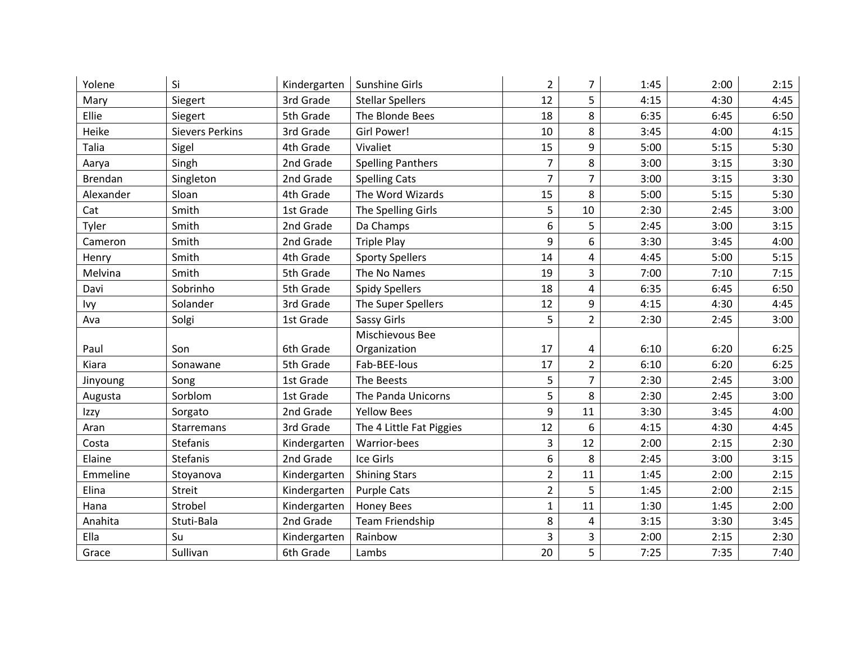| Yolene    | Si                     | Kindergarten | Sunshine Girls           | $\overline{2}$ | 7              | 1:45 | 2:00 | 2:15 |
|-----------|------------------------|--------------|--------------------------|----------------|----------------|------|------|------|
| Mary      | Siegert                | 3rd Grade    | <b>Stellar Spellers</b>  | 12             | 5              | 4:15 | 4:30 | 4:45 |
| Ellie     | Siegert                | 5th Grade    | The Blonde Bees          | 18             | 8              | 6:35 | 6:45 | 6:50 |
| Heike     | <b>Sievers Perkins</b> | 3rd Grade    | Girl Power!              | 10             | 8              | 3:45 | 4:00 | 4:15 |
| Talia     | Sigel                  | 4th Grade    | Vivaliet                 | 15             | 9              | 5:00 | 5:15 | 5:30 |
| Aarya     | Singh                  | 2nd Grade    | <b>Spelling Panthers</b> | $\overline{7}$ | 8              | 3:00 | 3:15 | 3:30 |
| Brendan   | Singleton              | 2nd Grade    | <b>Spelling Cats</b>     | $\overline{7}$ | $\overline{7}$ | 3:00 | 3:15 | 3:30 |
| Alexander | Sloan                  | 4th Grade    | The Word Wizards         | 15             | 8              | 5:00 | 5:15 | 5:30 |
| Cat       | Smith                  | 1st Grade    | The Spelling Girls       | 5              | 10             | 2:30 | 2:45 | 3:00 |
| Tyler     | Smith                  | 2nd Grade    | Da Champs                | 6              | 5              | 2:45 | 3:00 | 3:15 |
| Cameron   | Smith                  | 2nd Grade    | <b>Triple Play</b>       | 9              | 6              | 3:30 | 3:45 | 4:00 |
| Henry     | Smith                  | 4th Grade    | <b>Sporty Spellers</b>   | 14             | 4              | 4:45 | 5:00 | 5:15 |
| Melvina   | Smith                  | 5th Grade    | The No Names             | 19             | 3              | 7:00 | 7:10 | 7:15 |
| Davi      | Sobrinho               | 5th Grade    | <b>Spidy Spellers</b>    | 18             | $\overline{4}$ | 6:35 | 6:45 | 6:50 |
| Ivy       | Solander               | 3rd Grade    | The Super Spellers       | 12             | 9              | 4:15 | 4:30 | 4:45 |
| Ava       | Solgi                  | 1st Grade    | Sassy Girls              | 5              | $\overline{2}$ | 2:30 | 2:45 | 3:00 |
|           |                        |              | Mischievous Bee          |                |                |      |      |      |
| Paul      | Son                    | 6th Grade    | Organization             | 17             | 4              | 6:10 | 6:20 | 6:25 |
| Kiara     | Sonawane               | 5th Grade    | Fab-BEE-lous             | 17             | $\overline{2}$ | 6:10 | 6:20 | 6:25 |
| Jinyoung  | Song                   | 1st Grade    | The Beests               | 5              | $\overline{7}$ | 2:30 | 2:45 | 3:00 |
| Augusta   | Sorblom                | 1st Grade    | The Panda Unicorns       | 5              | 8              | 2:30 | 2:45 | 3:00 |
| Izzy      | Sorgato                | 2nd Grade    | <b>Yellow Bees</b>       | 9              | 11             | 3:30 | 3:45 | 4:00 |
| Aran      | Starremans             | 3rd Grade    | The 4 Little Fat Piggies | 12             | 6              | 4:15 | 4:30 | 4:45 |
| Costa     | Stefanis               | Kindergarten | Warrior-bees             | $\overline{3}$ | 12             | 2:00 | 2:15 | 2:30 |
| Elaine    | Stefanis               | 2nd Grade    | Ice Girls                | 6              | 8              | 2:45 | 3:00 | 3:15 |
| Emmeline  | Stoyanova              | Kindergarten | <b>Shining Stars</b>     | $\overline{2}$ | 11             | 1:45 | 2:00 | 2:15 |
| Elina     | Streit                 | Kindergarten | <b>Purple Cats</b>       | $\overline{2}$ | 5              | 1:45 | 2:00 | 2:15 |
| Hana      | Strobel                | Kindergarten | <b>Honey Bees</b>        | $\mathbf{1}$   | 11             | 1:30 | 1:45 | 2:00 |
| Anahita   | Stuti-Bala             | 2nd Grade    | Team Friendship          | 8              | $\overline{a}$ | 3:15 | 3:30 | 3:45 |
| Ella      | Su                     | Kindergarten | Rainbow                  | 3              | 3              | 2:00 | 2:15 | 2:30 |
| Grace     | Sullivan               | 6th Grade    | Lambs                    | 20             | 5              | 7:25 | 7:35 | 7:40 |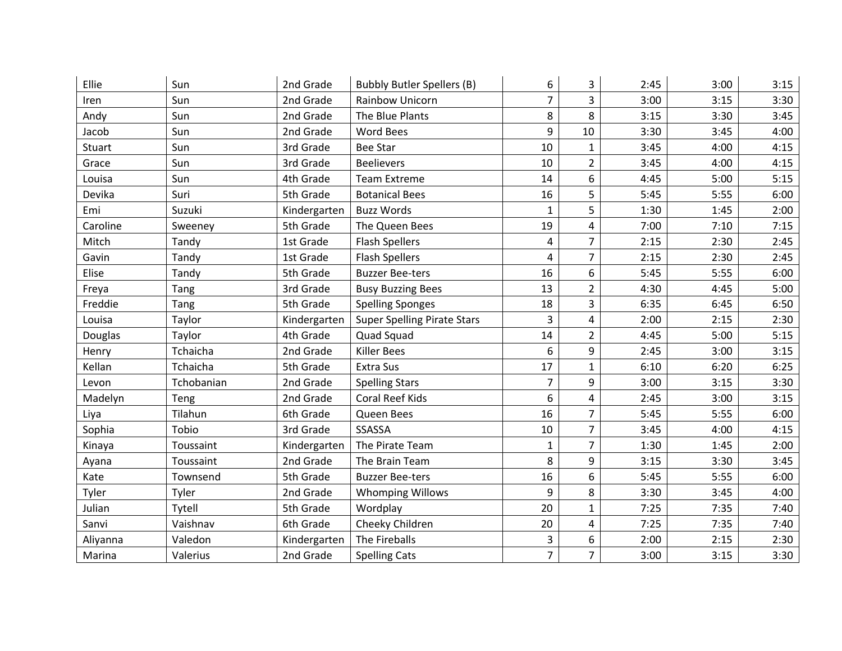| Ellie    | Sun        | 2nd Grade    | <b>Bubbly Butler Spellers (B)</b>  | 6              | 3                       | 2:45 | 3:00 | 3:15 |
|----------|------------|--------------|------------------------------------|----------------|-------------------------|------|------|------|
| Iren     | Sun        | 2nd Grade    | Rainbow Unicorn                    | $\overline{7}$ | 3                       | 3:00 | 3:15 | 3:30 |
| Andy     | Sun        | 2nd Grade    | The Blue Plants                    | 8              | 8                       | 3:15 | 3:30 | 3:45 |
| Jacob    | Sun        | 2nd Grade    | <b>Word Bees</b>                   | 9              | 10                      | 3:30 | 3:45 | 4:00 |
| Stuart   | Sun        | 3rd Grade    | <b>Bee Star</b>                    | 10             | $\mathbf{1}$            | 3:45 | 4:00 | 4:15 |
| Grace    | Sun        | 3rd Grade    | <b>Beelievers</b>                  | 10             | $\overline{2}$          | 3:45 | 4:00 | 4:15 |
| Louisa   | Sun        | 4th Grade    | <b>Team Extreme</b>                | 14             | 6                       | 4:45 | 5:00 | 5:15 |
| Devika   | Suri       | 5th Grade    | <b>Botanical Bees</b>              | 16             | 5                       | 5:45 | 5:55 | 6:00 |
| Emi      | Suzuki     | Kindergarten | <b>Buzz Words</b>                  | $\mathbf{1}$   | 5                       | 1:30 | 1:45 | 2:00 |
| Caroline | Sweeney    | 5th Grade    | The Queen Bees                     | 19             | 4                       | 7:00 | 7:10 | 7:15 |
| Mitch    | Tandy      | 1st Grade    | <b>Flash Spellers</b>              | 4              | $\overline{7}$          | 2:15 | 2:30 | 2:45 |
| Gavin    | Tandy      | 1st Grade    | <b>Flash Spellers</b>              | 4              | $\overline{7}$          | 2:15 | 2:30 | 2:45 |
| Elise    | Tandy      | 5th Grade    | <b>Buzzer Bee-ters</b>             | 16             | 6                       | 5:45 | 5:55 | 6:00 |
| Freya    | Tang       | 3rd Grade    | <b>Busy Buzzing Bees</b>           | 13             | $\overline{2}$          | 4:30 | 4:45 | 5:00 |
| Freddie  | Tang       | 5th Grade    | <b>Spelling Sponges</b>            | 18             | 3                       | 6:35 | 6:45 | 6:50 |
| Louisa   | Taylor     | Kindergarten | <b>Super Spelling Pirate Stars</b> | 3              | 4                       | 2:00 | 2:15 | 2:30 |
| Douglas  | Taylor     | 4th Grade    | Quad Squad                         | 14             | $\overline{2}$          | 4:45 | 5:00 | 5:15 |
| Henry    | Tchaicha   | 2nd Grade    | <b>Killer Bees</b>                 | 6              | 9                       | 2:45 | 3:00 | 3:15 |
| Kellan   | Tchaicha   | 5th Grade    | <b>Extra Sus</b>                   | 17             | $\mathbf{1}$            | 6:10 | 6:20 | 6:25 |
| Levon    | Tchobanian | 2nd Grade    | <b>Spelling Stars</b>              | $\overline{7}$ | 9                       | 3:00 | 3:15 | 3:30 |
| Madelyn  | Teng       | 2nd Grade    | Coral Reef Kids                    | 6              | 4                       | 2:45 | 3:00 | 3:15 |
| Liya     | Tilahun    | 6th Grade    | Queen Bees                         | 16             | $\overline{7}$          | 5:45 | 5:55 | 6:00 |
| Sophia   | Tobio      | 3rd Grade    | SSASSA                             | 10             | $\overline{7}$          | 3:45 | 4:00 | 4:15 |
| Kinaya   | Toussaint  | Kindergarten | The Pirate Team                    | $\mathbf{1}$   | $\overline{7}$          | 1:30 | 1:45 | 2:00 |
| Ayana    | Toussaint  | 2nd Grade    | The Brain Team                     | 8              | 9                       | 3:15 | 3:30 | 3:45 |
| Kate     | Townsend   | 5th Grade    | <b>Buzzer Bee-ters</b>             | 16             | 6                       | 5:45 | 5:55 | 6:00 |
| Tyler    | Tyler      | 2nd Grade    | <b>Whomping Willows</b>            | 9              | 8                       | 3:30 | 3:45 | 4:00 |
| Julian   | Tytell     | 5th Grade    | Wordplay                           | 20             | $\mathbf{1}$            | 7:25 | 7:35 | 7:40 |
| Sanvi    | Vaishnav   | 6th Grade    | Cheeky Children                    | 20             | $\overline{\mathbf{4}}$ | 7:25 | 7:35 | 7:40 |
| Aliyanna | Valedon    | Kindergarten | The Fireballs                      | 3              | 6                       | 2:00 | 2:15 | 2:30 |
| Marina   | Valerius   | 2nd Grade    | <b>Spelling Cats</b>               | $\overline{7}$ | $\overline{7}$          | 3:00 | 3:15 | 3:30 |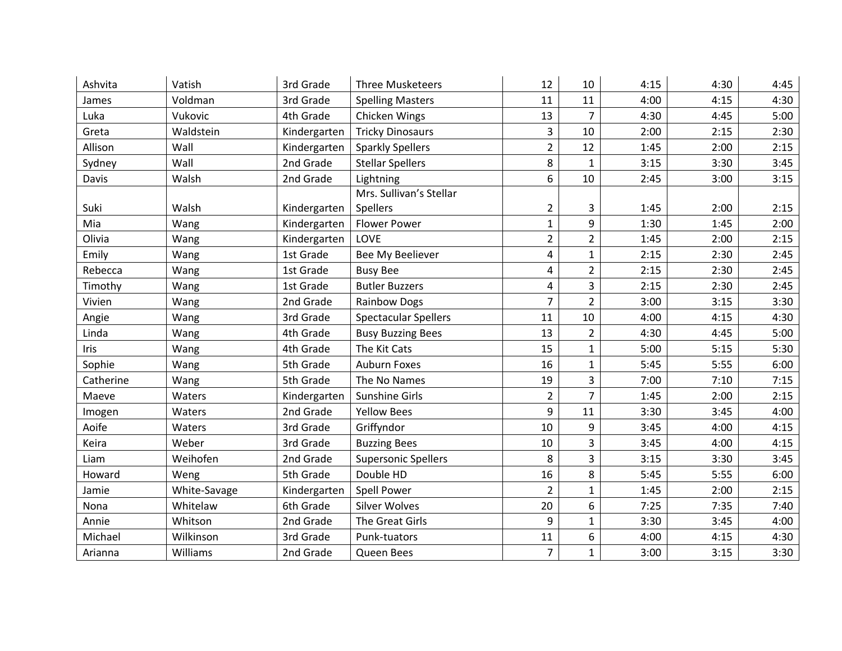| Ashvita   | Vatish       | 3rd Grade    | <b>Three Musketeers</b>     | 12             | 10             | 4:15 | 4:30 | 4:45 |
|-----------|--------------|--------------|-----------------------------|----------------|----------------|------|------|------|
| James     | Voldman      | 3rd Grade    | <b>Spelling Masters</b>     | 11             | 11             | 4:00 | 4:15 | 4:30 |
| Luka      | Vukovic      | 4th Grade    | Chicken Wings               | 13             | 7              | 4:30 | 4:45 | 5:00 |
| Greta     | Waldstein    | Kindergarten | <b>Tricky Dinosaurs</b>     | 3              | 10             | 2:00 | 2:15 | 2:30 |
| Allison   | Wall         | Kindergarten | <b>Sparkly Spellers</b>     | $\overline{2}$ | 12             | 1:45 | 2:00 | 2:15 |
| Sydney    | Wall         | 2nd Grade    | <b>Stellar Spellers</b>     | 8              | $\mathbf{1}$   | 3:15 | 3:30 | 3:45 |
| Davis     | Walsh        | 2nd Grade    | Lightning                   | 6              | 10             | 2:45 | 3:00 | 3:15 |
|           |              |              | Mrs. Sullivan's Stellar     |                |                |      |      |      |
| Suki      | Walsh        | Kindergarten | Spellers                    | $\overline{2}$ | 3              | 1:45 | 2:00 | 2:15 |
| Mia       | Wang         | Kindergarten | <b>Flower Power</b>         | $\mathbf{1}$   | 9              | 1:30 | 1:45 | 2:00 |
| Olivia    | Wang         | Kindergarten | LOVE                        | $\overline{2}$ | $\overline{2}$ | 1:45 | 2:00 | 2:15 |
| Emily     | Wang         | 1st Grade    | Bee My Beeliever            | 4              | $\mathbf{1}$   | 2:15 | 2:30 | 2:45 |
| Rebecca   | Wang         | 1st Grade    | <b>Busy Bee</b>             | 4              | $\overline{2}$ | 2:15 | 2:30 | 2:45 |
| Timothy   | Wang         | 1st Grade    | <b>Butler Buzzers</b>       | 4              | 3              | 2:15 | 2:30 | 2:45 |
| Vivien    | Wang         | 2nd Grade    | <b>Rainbow Dogs</b>         | $\overline{7}$ | $\overline{2}$ | 3:00 | 3:15 | 3:30 |
| Angie     | Wang         | 3rd Grade    | <b>Spectacular Spellers</b> | 11             | 10             | 4:00 | 4:15 | 4:30 |
| Linda     | Wang         | 4th Grade    | <b>Busy Buzzing Bees</b>    | 13             | $\overline{2}$ | 4:30 | 4:45 | 5:00 |
| Iris      | Wang         | 4th Grade    | The Kit Cats                | 15             | $\mathbf{1}$   | 5:00 | 5:15 | 5:30 |
| Sophie    | Wang         | 5th Grade    | <b>Auburn Foxes</b>         | 16             | $\mathbf{1}$   | 5:45 | 5:55 | 6:00 |
| Catherine | Wang         | 5th Grade    | The No Names                | 19             | 3              | 7:00 | 7:10 | 7:15 |
| Maeve     | Waters       | Kindergarten | Sunshine Girls              | $\overline{2}$ | $\overline{7}$ | 1:45 | 2:00 | 2:15 |
| Imogen    | Waters       | 2nd Grade    | <b>Yellow Bees</b>          | 9              | 11             | 3:30 | 3:45 | 4:00 |
| Aoife     | Waters       | 3rd Grade    | Griffyndor                  | 10             | 9              | 3:45 | 4:00 | 4:15 |
| Keira     | Weber        | 3rd Grade    | <b>Buzzing Bees</b>         | 10             | 3              | 3:45 | 4:00 | 4:15 |
| Liam      | Weihofen     | 2nd Grade    | <b>Supersonic Spellers</b>  | 8              | 3              | 3:15 | 3:30 | 3:45 |
| Howard    | Weng         | 5th Grade    | Double HD                   | 16             | 8              | 5:45 | 5:55 | 6:00 |
| Jamie     | White-Savage | Kindergarten | Spell Power                 | $\overline{2}$ | $\mathbf{1}$   | 1:45 | 2:00 | 2:15 |
| Nona      | Whitelaw     | 6th Grade    | <b>Silver Wolves</b>        | 20             | 6              | 7:25 | 7:35 | 7:40 |
| Annie     | Whitson      | 2nd Grade    | The Great Girls             | 9              | $\mathbf{1}$   | 3:30 | 3:45 | 4:00 |
| Michael   | Wilkinson    | 3rd Grade    | Punk-tuators                | 11             | 6              | 4:00 | 4:15 | 4:30 |
| Arianna   | Williams     | 2nd Grade    | Queen Bees                  | $\overline{7}$ | $\mathbf{1}$   | 3:00 | 3:15 | 3:30 |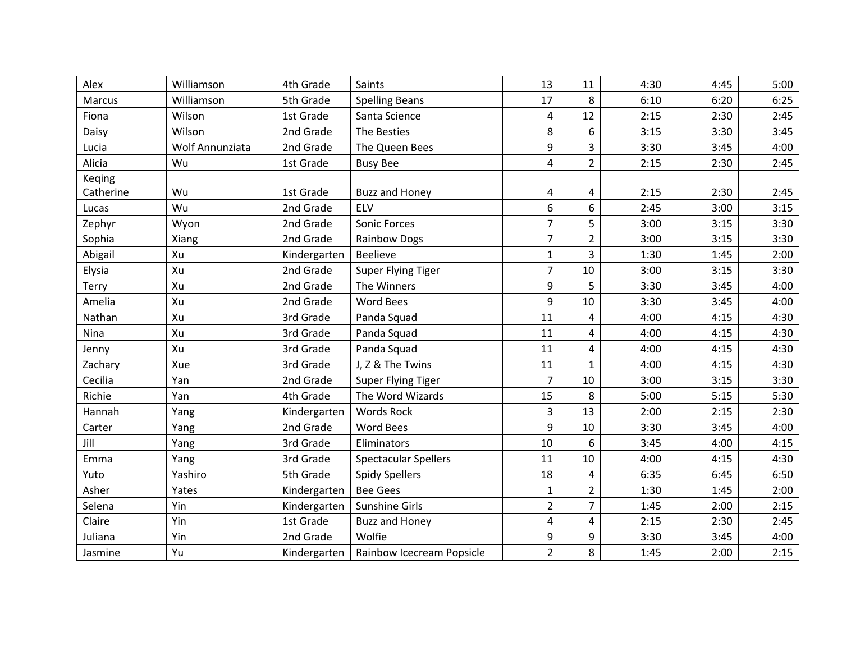| Alex      | Williamson      | 4th Grade    | Saints                      | 13             | 11             | 4:30 | 4:45 | 5:00 |
|-----------|-----------------|--------------|-----------------------------|----------------|----------------|------|------|------|
| Marcus    | Williamson      | 5th Grade    | <b>Spelling Beans</b>       | 17             | 8              | 6:10 | 6:20 | 6:25 |
| Fiona     | Wilson          | 1st Grade    | Santa Science               | 4              | 12             | 2:15 | 2:30 | 2:45 |
| Daisy     | Wilson          | 2nd Grade    | The Besties                 | 8              | 6              | 3:15 | 3:30 | 3:45 |
| Lucia     | Wolf Annunziata | 2nd Grade    | The Queen Bees              | 9              | 3              | 3:30 | 3:45 | 4:00 |
| Alicia    | Wu              | 1st Grade    | <b>Busy Bee</b>             | 4              | $\overline{2}$ | 2:15 | 2:30 | 2:45 |
| Keqing    |                 |              |                             |                |                |      |      |      |
| Catherine | Wu              | 1st Grade    | <b>Buzz and Honey</b>       | 4              | 4              | 2:15 | 2:30 | 2:45 |
| Lucas     | Wu              | 2nd Grade    | ELV                         | 6              | 6              | 2:45 | 3:00 | 3:15 |
| Zephyr    | Wyon            | 2nd Grade    | Sonic Forces                | $\overline{7}$ | 5              | 3:00 | 3:15 | 3:30 |
| Sophia    | Xiang           | 2nd Grade    | <b>Rainbow Dogs</b>         | 7              | $\overline{2}$ | 3:00 | 3:15 | 3:30 |
| Abigail   | Xu              | Kindergarten | <b>Beelieve</b>             | $\mathbf{1}$   | 3              | 1:30 | 1:45 | 2:00 |
| Elysia    | Xu              | 2nd Grade    | Super Flying Tiger          | $\overline{7}$ | 10             | 3:00 | 3:15 | 3:30 |
| Terry     | Xu              | 2nd Grade    | The Winners                 | 9              | 5              | 3:30 | 3:45 | 4:00 |
| Amelia    | Xu              | 2nd Grade    | <b>Word Bees</b>            | 9              | 10             | 3:30 | 3:45 | 4:00 |
| Nathan    | Xu              | 3rd Grade    | Panda Squad                 | 11             | 4              | 4:00 | 4:15 | 4:30 |
| Nina      | Xu              | 3rd Grade    | Panda Squad                 | 11             | 4              | 4:00 | 4:15 | 4:30 |
| Jenny     | Xu              | 3rd Grade    | Panda Squad                 | 11             | 4              | 4:00 | 4:15 | 4:30 |
| Zachary   | Xue             | 3rd Grade    | J, Z & The Twins            | 11             | $\mathbf{1}$   | 4:00 | 4:15 | 4:30 |
| Cecilia   | Yan             | 2nd Grade    | Super Flying Tiger          | $\overline{7}$ | 10             | 3:00 | 3:15 | 3:30 |
| Richie    | Yan             | 4th Grade    | The Word Wizards            | 15             | 8              | 5:00 | 5:15 | 5:30 |
| Hannah    | Yang            | Kindergarten | <b>Words Rock</b>           | 3              | 13             | 2:00 | 2:15 | 2:30 |
| Carter    | Yang            | 2nd Grade    | Word Bees                   | 9              | 10             | 3:30 | 3:45 | 4:00 |
| Jill      | Yang            | 3rd Grade    | Eliminators                 | 10             | 6              | 3:45 | 4:00 | 4:15 |
| Emma      | Yang            | 3rd Grade    | <b>Spectacular Spellers</b> | 11             | 10             | 4:00 | 4:15 | 4:30 |
| Yuto      | Yashiro         | 5th Grade    | <b>Spidy Spellers</b>       | 18             | 4              | 6:35 | 6:45 | 6:50 |
| Asher     | Yates           | Kindergarten | <b>Bee Gees</b>             | $\mathbf{1}$   | $\overline{2}$ | 1:30 | 1:45 | 2:00 |
| Selena    | Yin             | Kindergarten | Sunshine Girls              | $\overline{2}$ | 7              | 1:45 | 2:00 | 2:15 |
| Claire    | Yin             | 1st Grade    | <b>Buzz and Honey</b>       | 4              | 4              | 2:15 | 2:30 | 2:45 |
| Juliana   | Yin             | 2nd Grade    | Wolfie                      | 9              | 9              | 3:30 | 3:45 | 4:00 |
| Jasmine   | Yu              | Kindergarten | Rainbow Icecream Popsicle   | $\overline{2}$ | 8              | 1:45 | 2:00 | 2:15 |